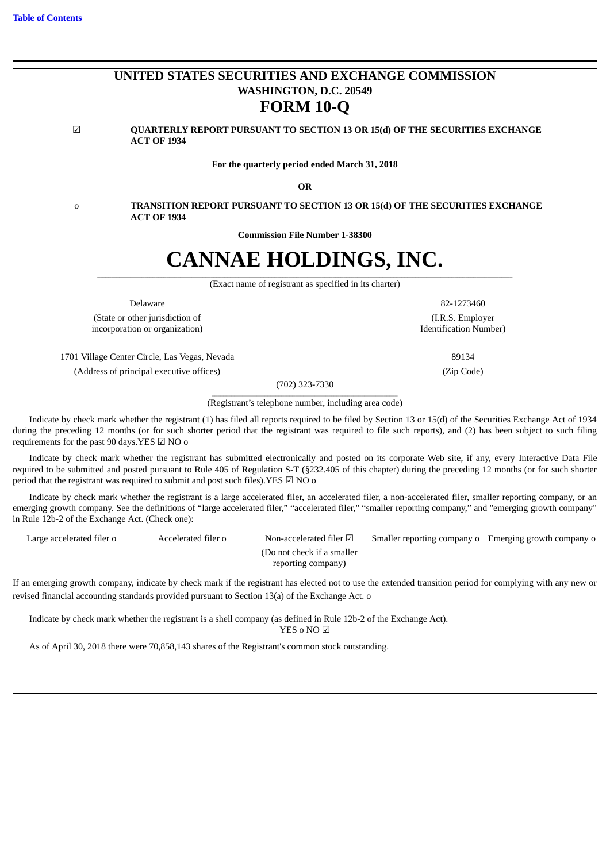# **UNITED STATES SECURITIES AND EXCHANGE COMMISSION WASHINGTON, D.C. 20549 FORM 10-Q** ☑ **QUARTERLY REPORT PURSUANT TO SECTION 13 OR 15(d) OF THE SECURITIES EXCHANGE ACT OF 1934 For the quarterly period ended March 31, 2018 OR** o **TRANSITION REPORT PURSUANT TO SECTION 13 OR 15(d) OF THE SECURITIES EXCHANGE ACT OF 1934 Commission File Number 1-38300 CANNAE HOLDINGS, INC. \_\_\_\_\_\_\_\_\_\_\_\_\_\_\_\_\_\_\_\_\_\_\_\_\_\_\_\_\_\_\_\_\_\_\_\_\_\_\_\_\_\_\_\_\_\_\_\_\_\_\_\_\_\_\_\_\_\_\_\_\_\_\_\_\_\_\_\_\_\_\_\_\_\_\_\_\_\_\_\_\_\_\_\_\_\_\_\_\_\_\_\_\_\_\_\_\_\_\_\_\_\_\_\_\_\_\_\_\_\_\_\_\_\_\_\_\_\_\_\_\_\_\_\_\_\_\_\_\_\_\_\_\_\_\_\_\_\_\_\_\_\_\_\_\_\_\_\_\_\_** (Exact name of registrant as specified in its charter) Delaware 82-1273460 (State or other jurisdiction of incorporation or organization) (I.R.S. Employer Identification Number) 1701 Village Center Circle, Las Vegas, Nevada 89134 (Address of principal executive offices) (Zip Code)

(702) 323-7330

 $\mathcal{L}_\text{max} = \mathcal{L}_\text{max} = \mathcal{L}_\text{max} = \mathcal{L}_\text{max} = \mathcal{L}_\text{max} = \mathcal{L}_\text{max} = \mathcal{L}_\text{max} = \mathcal{L}_\text{max} = \mathcal{L}_\text{max} = \mathcal{L}_\text{max} = \mathcal{L}_\text{max} = \mathcal{L}_\text{max} = \mathcal{L}_\text{max} = \mathcal{L}_\text{max} = \mathcal{L}_\text{max} = \mathcal{L}_\text{max} = \mathcal{L}_\text{max} = \mathcal{L}_\text{max} = \mathcal{$ (Registrant's telephone number, including area code)

Indicate by check mark whether the registrant (1) has filed all reports required to be filed by Section 13 or 15(d) of the Securities Exchange Act of 1934 during the preceding 12 months (or for such shorter period that the registrant was required to file such reports), and (2) has been subject to such filing requirements for the past 90 days. YES  $\boxtimes$  NO o

Indicate by check mark whether the registrant has submitted electronically and posted on its corporate Web site, if any, every Interactive Data File required to be submitted and posted pursuant to Rule 405 of Regulation S-T (§232.405 of this chapter) during the preceding 12 months (or for such shorter period that the registrant was required to submit and post such files). YES  $\boxtimes$  NO o

Indicate by check mark whether the registrant is a large accelerated filer, an accelerated filer, a non-accelerated filer, smaller reporting company, or an emerging growth company. See the definitions of "large accelerated filer," "accelerated filer," "smaller reporting company," and "emerging growth company" in Rule 12b-2 of the Exchange Act. (Check one):

Large accelerated filer o Accelerated filer o Non-accelerated filer ⊠ Smaller reporting company o Emerging growth company o (Do not check if a smaller reporting company)

If an emerging growth company, indicate by check mark if the registrant has elected not to use the extended transition period for complying with any new or revised financial accounting standards provided pursuant to Section 13(a) of the Exchange Act. o

Indicate by check mark whether the registrant is a shell company (as defined in Rule 12b-2 of the Exchange Act). YES o NO ☑

As of April 30, 2018 there were 70,858,143 shares of the Registrant's common stock outstanding.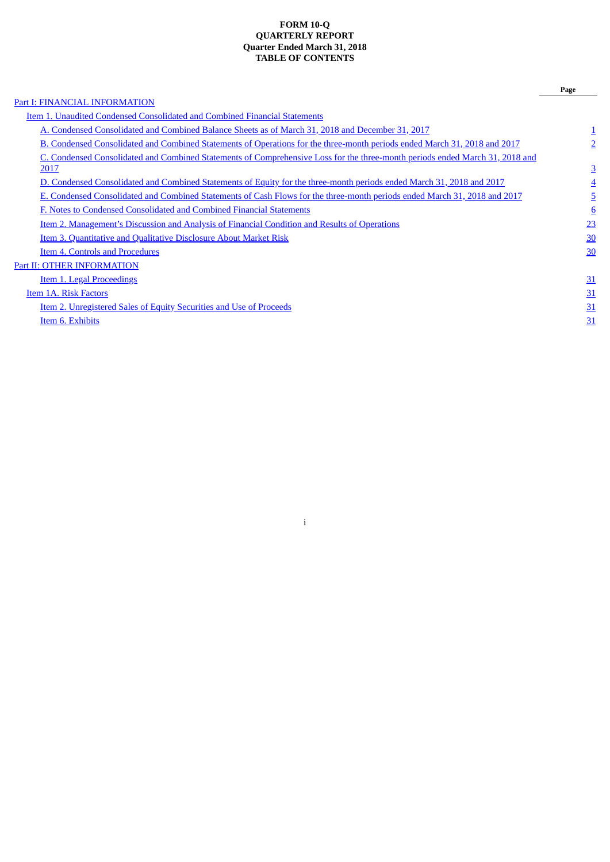## **FORM 10-Q QUARTERLY REPORT Quarter Ended March 31, 2018 TABLE OF CONTENTS**

<span id="page-1-0"></span>

|                                                                                                                           | Page      |
|---------------------------------------------------------------------------------------------------------------------------|-----------|
| Part I: FINANCIAL INFORMATION                                                                                             |           |
| <b>Item 1. Unaudited Condensed Consolidated and Combined Financial Statements</b>                                         |           |
| A. Condensed Consolidated and Combined Balance Sheets as of March 31, 2018 and December 31, 2017                          |           |
| B. Condensed Consolidated and Combined Statements of Operations for the three-month periods ended March 31, 2018 and 2017 | 2         |
| Condensed Consolidated and Combined Statements of Comprehensive Loss for the three-month periods ended March 31, 2018 and |           |
| 2017                                                                                                                      | <u>3</u>  |
| D. Condensed Consolidated and Combined Statements of Equity for the three-month periods ended March 31, 2018 and 2017     | <u>4</u>  |
| E. Condensed Consolidated and Combined Statements of Cash Flows for the three-month periods ended March 31, 2018 and 2017 | <u>5</u>  |
| F. Notes to Condensed Consolidated and Combined Financial Statements                                                      | 6         |
| <u>Item 2. Management's Discussion and Analysis of Financial Condition and Results of Operations</u>                      | 23        |
| <b>Item 3. Quantitative and Qualitative Disclosure About Market Risk</b>                                                  | <u>30</u> |
| <b>Item 4. Controls and Procedures</b>                                                                                    | 30        |
| Part II: OTHER INFORMATION                                                                                                |           |
| <b>Item 1. Legal Proceedings</b>                                                                                          | <u>31</u> |
| Item 1A. Risk Factors                                                                                                     | <u>31</u> |
| <u>Item 2. Unregistered Sales of Equity Securities and Use of Proceeds</u>                                                | 31        |
| Item 6. Exhibits                                                                                                          | 31        |
|                                                                                                                           |           |

i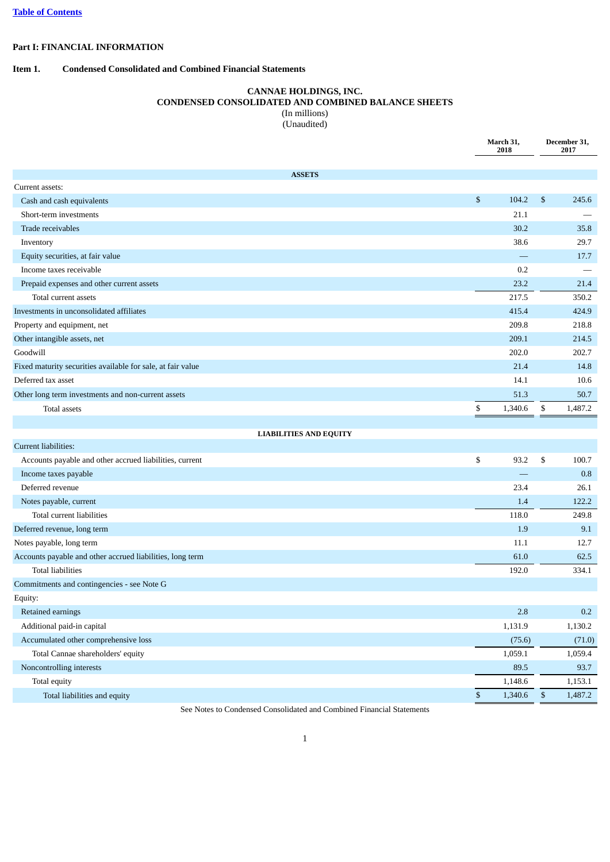# <span id="page-2-0"></span>**Part I: FINANCIAL INFORMATION**

<span id="page-2-2"></span><span id="page-2-1"></span>**Item 1. Condensed Consolidated and Combined Financial Statements**

## **CANNAE HOLDINGS, INC. CONDENSED CONSOLIDATED AND COMBINED BALANCE SHEETS** (In millions) (Unaudited)

|                                                             | March 31,<br>2018 | December 31,<br>2017 |
|-------------------------------------------------------------|-------------------|----------------------|
| <b>ASSETS</b>                                               |                   |                      |
| Current assets:                                             |                   |                      |
| Cash and cash equivalents                                   | \$<br>104.2       | \$<br>245.6          |
| Short-term investments                                      | 21.1              |                      |
| Trade receivables                                           | 30.2              | 35.8                 |
| Inventory                                                   | 38.6              | 29.7                 |
| Equity securities, at fair value                            |                   | 17.7                 |
| Income taxes receivable                                     | 0.2               |                      |
| Prepaid expenses and other current assets                   | 23.2              | 21.4                 |
| Total current assets                                        | 217.5             | 350.2                |
| Investments in unconsolidated affiliates                    | 415.4             | 424.9                |
| Property and equipment, net                                 | 209.8             | 218.8                |
| Other intangible assets, net                                | 209.1             | 214.5                |
| Goodwill                                                    | 202.0             | 202.7                |
| Fixed maturity securities available for sale, at fair value | 21.4              | 14.8                 |
| Deferred tax asset                                          | 14.1              | 10.6                 |
| Other long term investments and non-current assets          | 51.3              | 50.7                 |
| Total assets                                                | \$<br>1,340.6     | \$<br>1,487.2        |
|                                                             |                   |                      |
| <b>LIABILITIES AND EQUITY</b>                               |                   |                      |
| <b>Current liabilities:</b>                                 |                   |                      |
| Accounts payable and other accrued liabilities, current     | \$<br>93.2        | \$<br>100.7          |
| Income taxes payable                                        |                   | 0.8                  |
| Deferred revenue                                            | 23.4              | 26.1                 |
| Notes payable, current                                      | 1.4               | 122.2                |
| Total current liabilities                                   | 118.0             | 249.8                |
| Deferred revenue, long term                                 | 1.9               | 9.1                  |
| Notes payable, long term                                    | 11.1              | 12.7                 |
| Accounts payable and other accrued liabilities, long term   | 61.0              | 62.5                 |
| <b>Total liabilities</b>                                    | 192.0             | 334.1                |
| Commitments and contingencies - see Note G                  |                   |                      |
| Equity:                                                     |                   |                      |
| Retained earnings                                           | 2.8               | 0.2                  |
| Additional paid-in capital                                  | 1,131.9           | 1,130.2              |
| Accumulated other comprehensive loss                        | (75.6)            | (71.0)               |
| Total Cannae shareholders' equity                           | 1,059.1           | 1,059.4              |
| Noncontrolling interests                                    | 89.5              | 93.7                 |
| Total equity                                                | 1,148.6           | 1,153.1              |
| Total liabilities and equity                                | \$<br>1,340.6     | \$<br>1,487.2        |

See Notes to Condensed Consolidated and Combined Financial Statements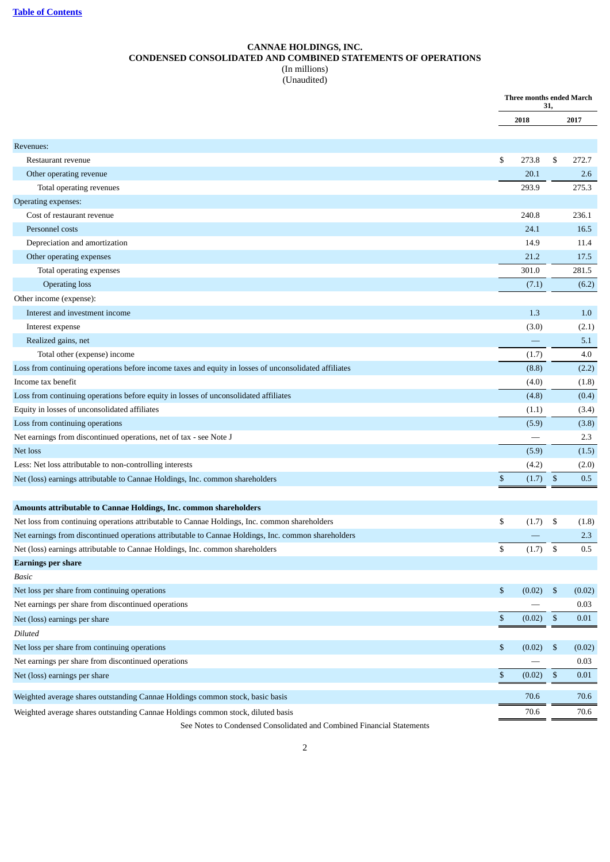# **CANNAE HOLDINGS, INC. CONDENSED CONSOLIDATED AND COMBINED STATEMENTS OF OPERATIONS** (In millions)

(Unaudited)

<span id="page-3-0"></span>

|                                                                                                       | <b>Three months ended March</b><br>31,                                |                          |              |        |
|-------------------------------------------------------------------------------------------------------|-----------------------------------------------------------------------|--------------------------|--------------|--------|
|                                                                                                       |                                                                       | 2018                     |              | 2017   |
|                                                                                                       |                                                                       |                          |              |        |
| Revenues:                                                                                             |                                                                       |                          |              |        |
| Restaurant revenue                                                                                    | \$                                                                    | 273.8                    | \$           | 272.7  |
| Other operating revenue                                                                               |                                                                       | 20.1                     |              | 2.6    |
| Total operating revenues                                                                              |                                                                       | 293.9                    |              | 275.3  |
| Operating expenses:                                                                                   |                                                                       |                          |              |        |
| Cost of restaurant revenue                                                                            |                                                                       | 240.8                    |              | 236.1  |
| Personnel costs                                                                                       |                                                                       | 24.1                     |              | 16.5   |
| Depreciation and amortization                                                                         |                                                                       | 14.9                     |              | 11.4   |
| Other operating expenses                                                                              |                                                                       | 21.2                     |              | 17.5   |
| Total operating expenses                                                                              |                                                                       | 301.0                    |              | 281.5  |
| <b>Operating loss</b>                                                                                 |                                                                       | (7.1)                    |              | (6.2)  |
| Other income (expense):                                                                               |                                                                       |                          |              |        |
| Interest and investment income                                                                        |                                                                       | 1.3                      |              | 1.0    |
| Interest expense                                                                                      |                                                                       | (3.0)                    |              | (2.1)  |
| Realized gains, net                                                                                   |                                                                       | $\overline{\phantom{m}}$ |              | 5.1    |
| Total other (expense) income                                                                          |                                                                       | (1.7)                    |              | 4.0    |
| Loss from continuing operations before income taxes and equity in losses of unconsolidated affiliates |                                                                       | (8.8)                    |              | (2.2)  |
| Income tax benefit                                                                                    |                                                                       | (4.0)                    |              | (1.8)  |
| Loss from continuing operations before equity in losses of unconsolidated affiliates                  |                                                                       | (4.8)                    |              | (0.4)  |
| Equity in losses of unconsolidated affiliates                                                         |                                                                       | (1.1)                    |              | (3.4)  |
| Loss from continuing operations                                                                       |                                                                       | (5.9)                    |              | (3.8)  |
| Net earnings from discontinued operations, net of tax - see Note J                                    |                                                                       |                          |              | 2.3    |
| Net loss                                                                                              |                                                                       | (5.9)                    |              | (1.5)  |
| Less: Net loss attributable to non-controlling interests                                              |                                                                       | (4.2)                    |              | (2.0)  |
| Net (loss) earnings attributable to Cannae Holdings, Inc. common shareholders                         | $\mathbb{S}% _{t}\left( t\right) \equiv\mathbb{S}_{t}\left( t\right)$ | (1.7)                    | \$           | 0.5    |
|                                                                                                       |                                                                       |                          |              |        |
| Amounts attributable to Cannae Holdings, Inc. common shareholders                                     |                                                                       |                          |              |        |
| Net loss from continuing operations attributable to Cannae Holdings, Inc. common shareholders         | \$                                                                    | (1.7)                    | \$           | (1.8)  |
| Net earnings from discontinued operations attributable to Cannae Holdings, Inc. common shareholders   |                                                                       |                          |              | 2.3    |
| Net (loss) earnings attributable to Cannae Holdings, Inc. common shareholders                         | \$                                                                    | (1.7)                    | \$           | 0.5    |
| <b>Earnings per share</b>                                                                             |                                                                       |                          |              |        |
| Basic                                                                                                 |                                                                       |                          |              |        |
| Net loss per share from continuing operations                                                         | \$                                                                    | (0.02)                   | \$           | (0.02) |
| Net earnings per share from discontinued operations                                                   |                                                                       |                          |              | 0.03   |
| Net (loss) earnings per share                                                                         | $\mathbb{S}$                                                          | (0.02)                   | \$           | 0.01   |
| Diluted                                                                                               |                                                                       |                          |              |        |
| Net loss per share from continuing operations                                                         | \$                                                                    | (0.02)                   | \$           | (0.02) |
| Net earnings per share from discontinued operations                                                   |                                                                       |                          |              | 0.03   |
| Net (loss) earnings per share                                                                         | \$                                                                    | (0.02)                   | $\mathbb{S}$ | 0.01   |
|                                                                                                       |                                                                       |                          |              |        |
| Weighted average shares outstanding Cannae Holdings common stock, basic basis                         |                                                                       | 70.6                     |              | 70.6   |
| Weighted average shares outstanding Cannae Holdings common stock, diluted basis                       |                                                                       | 70.6                     |              | 70.6   |

See Notes to Condensed Consolidated and Combined Financial Statements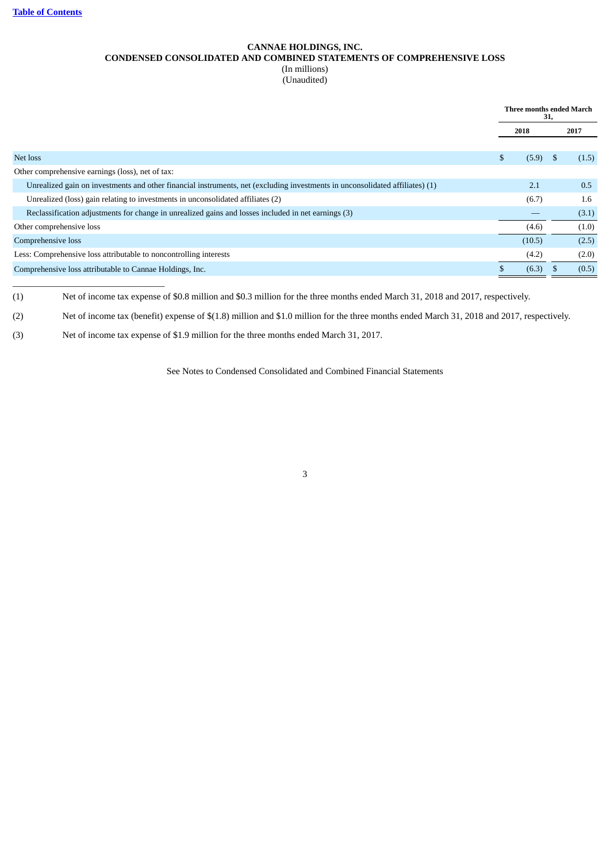\_\_\_\_\_\_\_\_\_\_\_\_\_\_\_\_\_\_\_\_\_\_\_\_\_\_\_\_\_\_\_\_\_

## **CANNAE HOLDINGS, INC. CONDENSED CONSOLIDATED AND COMBINED STATEMENTS OF COMPREHENSIVE LOSS** (In millions)

(Unaudited)

<span id="page-4-0"></span>

|                                                                                                                              |    | Three months ended March |  |       |
|------------------------------------------------------------------------------------------------------------------------------|----|--------------------------|--|-------|
|                                                                                                                              |    | 2018                     |  | 2017  |
|                                                                                                                              |    |                          |  |       |
| Net loss                                                                                                                     | \$ | (5.9)                    |  | (1.5) |
| Other comprehensive earnings (loss), net of tax:                                                                             |    |                          |  |       |
| Unrealized gain on investments and other financial instruments, net (excluding investments in unconsolidated affiliates) (1) |    | 2.1                      |  | 0.5   |
| Unrealized (loss) gain relating to investments in unconsolidated affiliates (2)                                              |    | (6.7)                    |  | 1.6   |
| Reclassification adjustments for change in unrealized gains and losses included in net earnings (3)                          |    |                          |  | (3.1) |
| Other comprehensive loss                                                                                                     |    | (4.6)                    |  | (1.0) |
| Comprehensive loss                                                                                                           |    | (10.5)                   |  | (2.5) |
| Less: Comprehensive loss attributable to noncontrolling interests                                                            |    | (4.2)                    |  | (2.0) |
| Comprehensive loss attributable to Cannae Holdings, Inc.                                                                     |    | (6.3)                    |  | (0.5) |
|                                                                                                                              |    |                          |  |       |

(1) Net of income tax expense of \$0.8 million and \$0.3 million for the three months ended March 31, 2018 and 2017, respectively.

(2) Net of income tax (benefit) expense of \$(1.8) million and \$1.0 million for the three months ended March 31, 2018 and 2017, respectively.

(3) Net of income tax expense of \$1.9 million for the three months ended March 31, 2017.

See Notes to Condensed Consolidated and Combined Financial Statements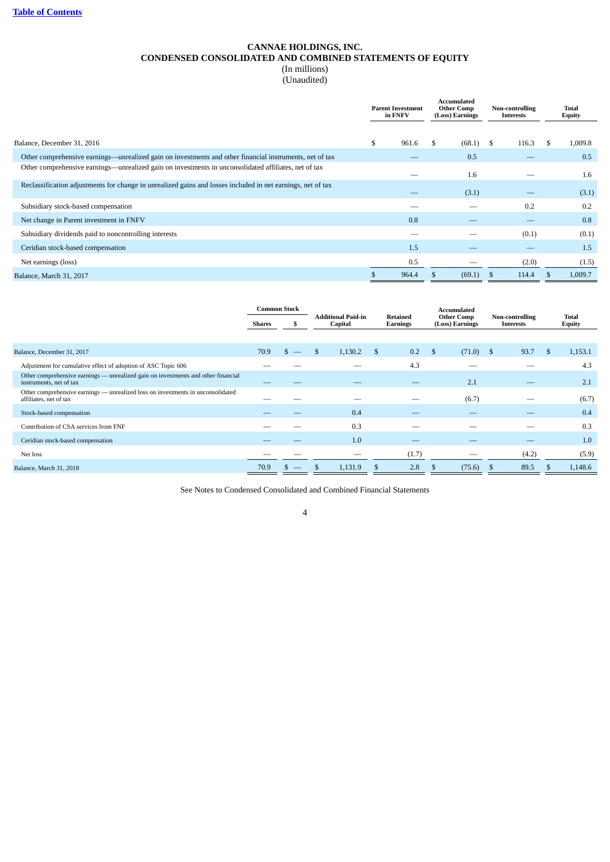## **CANNAE HOLDINGS, INC. CONDENSED CONSOLIDATED AND COMBINED STATEMENTS OF EQUITY** (In millions)

(Unaudited)

<span id="page-5-0"></span>

|                                                                                                             |    | <b>Parent Investment</b><br>in FNFV |    |        |             | Accumulated<br>Non-controlling<br><b>Other Comp</b><br>(Loss) Earnings<br><b>Interests</b> |  | Total<br><b>Equity</b> |
|-------------------------------------------------------------------------------------------------------------|----|-------------------------------------|----|--------|-------------|--------------------------------------------------------------------------------------------|--|------------------------|
|                                                                                                             |    |                                     |    |        |             |                                                                                            |  |                        |
| Balance, December 31, 2016                                                                                  | \$ | 961.6                               | S. | (68.1) | 116.3<br>\$ | \$<br>1,009.8                                                                              |  |                        |
| Other comprehensive earnings—unrealized gain on investments and other financial instruments, net of tax     |    |                                     |    | 0.5    |             | 0.5                                                                                        |  |                        |
| Other comprehensive earnings—unrealized gain on investments in unconsolidated affiliates, net of tax        |    |                                     |    | 1.6    |             | 1.6                                                                                        |  |                        |
| Reclassification adjustments for change in unrealized gains and losses included in net earnings, net of tax |    |                                     |    | (3.1)  |             | (3.1)                                                                                      |  |                        |
| Subsidiary stock-based compensation                                                                         |    |                                     |    |        | 0.2         | 0.2                                                                                        |  |                        |
| Net change in Parent investment in FNFV                                                                     |    | 0.8                                 |    |        |             | 0.8                                                                                        |  |                        |
| Subsidiary dividends paid to noncontrolling interests                                                       |    |                                     |    |        | (0.1)       | (0.1)                                                                                      |  |                        |
| Ceridian stock-based compensation                                                                           |    | 1.5                                 |    |        |             | 1.5                                                                                        |  |                        |
| Net earnings (loss)                                                                                         |    | 0.5                                 |    |        | (2.0)       | (1.5)                                                                                      |  |                        |
| Balance, March 31, 2017                                                                                     |    | 964.4                               |    | (69.1) | 114.4       | 1,009.7                                                                                    |  |                        |

|                                                                                                              | <b>Common Stock</b> |                                 |     |                                      |    |                             | Accumulated |                                      |                              |              |                               |  |  |  |  |  |  |
|--------------------------------------------------------------------------------------------------------------|---------------------|---------------------------------|-----|--------------------------------------|----|-----------------------------|-------------|--------------------------------------|------------------------------|--------------|-------------------------------|--|--|--|--|--|--|
|                                                                                                              | <b>Shares</b>       | J.                              |     | <b>Additional Paid-in</b><br>Capital |    | Retained<br><b>Earnings</b> |             | <b>Other Comp</b><br>(Loss) Earnings | Non-controlling<br>Interests |              | <b>Total</b><br><b>Equity</b> |  |  |  |  |  |  |
|                                                                                                              |                     |                                 |     |                                      |    |                             |             |                                      |                              |              |                               |  |  |  |  |  |  |
| Balance, December 31, 2017                                                                                   | 70.9                | \$.<br>$\overline{\phantom{a}}$ | \$. | 1,130.2                              | -S | 0.2                         | <b>S</b>    | (71.0)                               | 93.7<br>-\$                  | $\mathbb{S}$ | 1,153.1                       |  |  |  |  |  |  |
| Adjustment for cumulative effect of adoption of ASC Topic 606                                                |                     |                                 |     |                                      |    | 4.3                         |             |                                      |                              |              | 4.3                           |  |  |  |  |  |  |
| Other comprehensive earnings — unrealized gain on investments and other financial<br>instruments, net of tax |                     |                                 |     |                                      |    |                             |             | 2.1                                  |                              |              | 2.1                           |  |  |  |  |  |  |
| Other comprehensive earnings — unrealized loss on investments in unconsolidated<br>affiliates, net of tax    |                     |                                 |     |                                      |    | __                          |             | (6.7)                                |                              |              | (6.7)                         |  |  |  |  |  |  |
| Stock-based compensation                                                                                     |                     |                                 |     | 0.4                                  |    | __                          |             |                                      |                              |              | 0.4                           |  |  |  |  |  |  |
| Contribution of CSA services from FNF                                                                        |                     |                                 |     | 0.3                                  |    |                             |             |                                      |                              |              | 0.3                           |  |  |  |  |  |  |
| Ceridian stock-based compensation                                                                            |                     |                                 |     | 1.0                                  |    |                             |             |                                      |                              |              | 1.0                           |  |  |  |  |  |  |
| Net loss                                                                                                     |                     |                                 |     |                                      |    | (1.7)                       |             |                                      | (4.2)                        |              | (5.9)                         |  |  |  |  |  |  |
| Balance, March 31, 2018                                                                                      | 70.9                |                                 | -S  | 1,131.9                              | S  | 2.8                         |             | (75.6)                               | 89.5<br>-S                   | S            | 1,148.6                       |  |  |  |  |  |  |

See Notes to Condensed Consolidated and Combined Financial Statements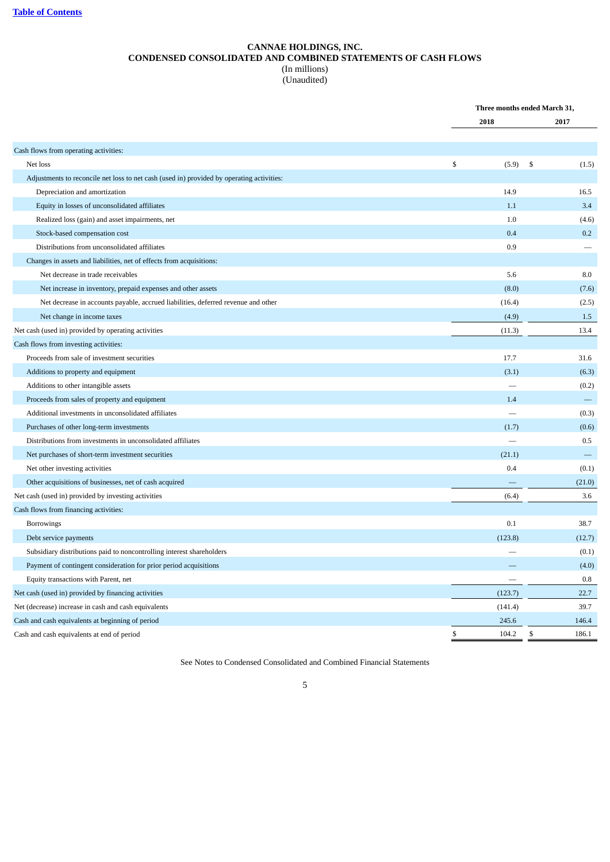## **CANNAE HOLDINGS, INC. CONDENSED CONSOLIDATED AND COMBINED STATEMENTS OF CASH FLOWS** (In millions)

(Unaudited)

<span id="page-6-0"></span>

|                                                                                           |      | Three months ended March 31, |             |
|-------------------------------------------------------------------------------------------|------|------------------------------|-------------|
|                                                                                           | 2018 |                              | 2017        |
|                                                                                           |      |                              |             |
| Cash flows from operating activities:                                                     |      |                              |             |
| Net loss                                                                                  | \$   | (5.9)                        | \$<br>(1.5) |
| Adjustments to reconcile net loss to net cash (used in) provided by operating activities: |      |                              |             |
| Depreciation and amortization                                                             |      | 14.9                         | 16.5        |
| Equity in losses of unconsolidated affiliates                                             |      | 1.1                          | 3.4         |
| Realized loss (gain) and asset impairments, net                                           |      | 1.0                          | (4.6)       |
| Stock-based compensation cost                                                             |      | 0.4                          | 0.2         |
| Distributions from unconsolidated affiliates                                              |      | 0.9                          |             |
| Changes in assets and liabilities, net of effects from acquisitions:                      |      |                              |             |
| Net decrease in trade receivables                                                         |      | 5.6                          | 8.0         |
| Net increase in inventory, prepaid expenses and other assets                              |      | (8.0)                        | (7.6)       |
| Net decrease in accounts payable, accrued liabilities, deferred revenue and other         |      | (16.4)                       | (2.5)       |
| Net change in income taxes                                                                |      | (4.9)                        | 1.5         |
| Net cash (used in) provided by operating activities                                       |      | (11.3)                       | 13.4        |
| Cash flows from investing activities:                                                     |      |                              |             |
| Proceeds from sale of investment securities                                               |      | 17.7                         | 31.6        |
| Additions to property and equipment                                                       |      | (3.1)                        | (6.3)       |
| Additions to other intangible assets                                                      |      |                              | (0.2)       |
| Proceeds from sales of property and equipment                                             |      | 1.4                          |             |
| Additional investments in unconsolidated affiliates                                       |      |                              | (0.3)       |
| Purchases of other long-term investments                                                  |      | (1.7)                        | (0.6)       |
| Distributions from investments in unconsolidated affiliates                               |      |                              | 0.5         |
| Net purchases of short-term investment securities                                         |      | (21.1)                       |             |
| Net other investing activities                                                            |      | 0.4                          | (0.1)       |
| Other acquisitions of businesses, net of cash acquired                                    |      |                              | (21.0)      |
| Net cash (used in) provided by investing activities                                       |      | (6.4)                        | 3.6         |
| Cash flows from financing activities:                                                     |      |                              |             |
| Borrowings                                                                                |      | 0.1                          | 38.7        |
| Debt service payments                                                                     |      | (123.8)                      | (12.7)      |
| Subsidiary distributions paid to noncontrolling interest shareholders                     |      |                              | (0.1)       |
| Payment of contingent consideration for prior period acquisitions                         |      |                              | (4.0)       |
| Equity transactions with Parent, net                                                      |      |                              | 0.8         |
| Net cash (used in) provided by financing activities                                       |      | (123.7)                      | 22.7        |
| Net (decrease) increase in cash and cash equivalents                                      |      | (141.4)                      | 39.7        |
| Cash and cash equivalents at beginning of period                                          |      | 245.6                        | 146.4       |
| Cash and cash equivalents at end of period                                                | \$   | 104.2                        | \$<br>186.1 |

See Notes to Condensed Consolidated and Combined Financial Statements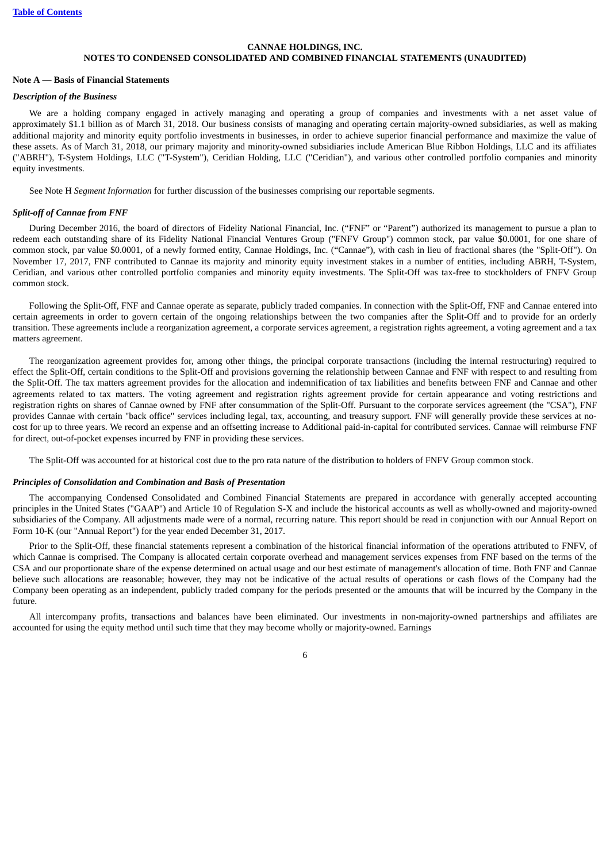## **CANNAE HOLDINGS, INC. NOTES TO CONDENSED CONSOLIDATED AND COMBINED FINANCIAL STATEMENTS (UNAUDITED)**

#### <span id="page-7-1"></span><span id="page-7-0"></span>**Note A — Basis of Financial Statements**

#### *Description of the Business*

We are a holding company engaged in actively managing and operating a group of companies and investments with a net asset value of approximately \$1.1 billion as of March 31, 2018. Our business consists of managing and operating certain majority-owned subsidiaries, as well as making additional majority and minority equity portfolio investments in businesses, in order to achieve superior financial performance and maximize the value of these assets. As of March 31, 2018, our primary majority and minority-owned subsidiaries include American Blue Ribbon Holdings, LLC and its affiliates ("ABRH"), T-System Holdings, LLC ("T-System"), Ceridian Holding, LLC ("Ceridian"), and various other controlled portfolio companies and minority equity investments.

See Note H *Segment Information* for further discussion of the businesses comprising our reportable segments.

#### *Split-off of Cannae from FNF*

During December 2016, the board of directors of Fidelity National Financial, Inc. ("FNF" or "Parent") authorized its management to pursue a plan to redeem each outstanding share of its Fidelity National Financial Ventures Group ("FNFV Group") common stock, par value \$0.0001, for one share of common stock, par value \$0.0001, of a newly formed entity, Cannae Holdings, Inc. ("Cannae"), with cash in lieu of fractional shares (the "Split-Off"). On November 17, 2017, FNF contributed to Cannae its majority and minority equity investment stakes in a number of entities, including ABRH, T-System, Ceridian, and various other controlled portfolio companies and minority equity investments. The Split-Off was tax-free to stockholders of FNFV Group common stock.

Following the Split-Off, FNF and Cannae operate as separate, publicly traded companies. In connection with the Split-Off, FNF and Cannae entered into certain agreements in order to govern certain of the ongoing relationships between the two companies after the Split-Off and to provide for an orderly transition. These agreements include a reorganization agreement, a corporate services agreement, a registration rights agreement, a voting agreement and a tax matters agreement.

The reorganization agreement provides for, among other things, the principal corporate transactions (including the internal restructuring) required to effect the Split-Off, certain conditions to the Split-Off and provisions governing the relationship between Cannae and FNF with respect to and resulting from the Split-Off. The tax matters agreement provides for the allocation and indemnification of tax liabilities and benefits between FNF and Cannae and other agreements related to tax matters. The voting agreement and registration rights agreement provide for certain appearance and voting restrictions and registration rights on shares of Cannae owned by FNF after consummation of the Split-Off. Pursuant to the corporate services agreement (the "CSA"), FNF provides Cannae with certain "back office" services including legal, tax, accounting, and treasury support. FNF will generally provide these services at nocost for up to three years. We record an expense and an offsetting increase to Additional paid-in-capital for contributed services. Cannae will reimburse FNF for direct, out-of-pocket expenses incurred by FNF in providing these services.

The Split-Off was accounted for at historical cost due to the pro rata nature of the distribution to holders of FNFV Group common stock.

#### *Principles of Consolidation and Combination and Basis of Presentation*

The accompanying Condensed Consolidated and Combined Financial Statements are prepared in accordance with generally accepted accounting principles in the United States ("GAAP") and Article 10 of Regulation S-X and include the historical accounts as well as wholly-owned and majority-owned subsidiaries of the Company. All adjustments made were of a normal, recurring nature. This report should be read in conjunction with our Annual Report on Form 10-K (our "Annual Report") for the year ended December 31, 2017.

Prior to the Split-Off, these financial statements represent a combination of the historical financial information of the operations attributed to FNFV, of which Cannae is comprised. The Company is allocated certain corporate overhead and management services expenses from FNF based on the terms of the CSA and our proportionate share of the expense determined on actual usage and our best estimate of management's allocation of time. Both FNF and Cannae believe such allocations are reasonable; however, they may not be indicative of the actual results of operations or cash flows of the Company had the Company been operating as an independent, publicly traded company for the periods presented or the amounts that will be incurred by the Company in the future.

All intercompany profits, transactions and balances have been eliminated. Our investments in non-majority-owned partnerships and affiliates are accounted for using the equity method until such time that they may become wholly or majority-owned. Earnings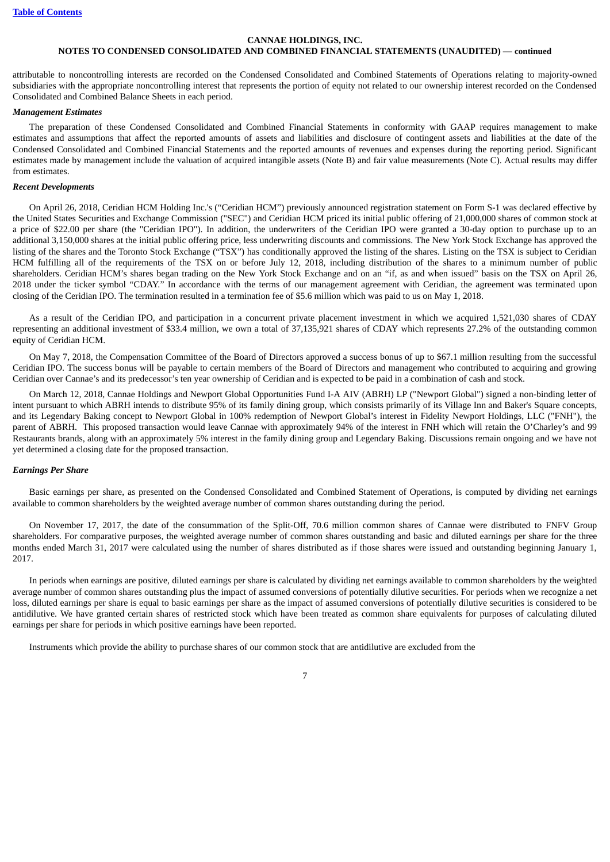## **NOTES TO CONDENSED CONSOLIDATED AND COMBINED FINANCIAL STATEMENTS (UNAUDITED) — continued**

attributable to noncontrolling interests are recorded on the Condensed Consolidated and Combined Statements of Operations relating to majority-owned subsidiaries with the appropriate noncontrolling interest that represents the portion of equity not related to our ownership interest recorded on the Condensed Consolidated and Combined Balance Sheets in each period.

#### *Management Estimates*

The preparation of these Condensed Consolidated and Combined Financial Statements in conformity with GAAP requires management to make estimates and assumptions that affect the reported amounts of assets and liabilities and disclosure of contingent assets and liabilities at the date of the Condensed Consolidated and Combined Financial Statements and the reported amounts of revenues and expenses during the reporting period. Significant estimates made by management include the valuation of acquired intangible assets (Note B) and fair value measurements (Note C). Actual results may differ from estimates.

#### *Recent Developments*

On April 26, 2018, Ceridian HCM Holding Inc.'s ("Ceridian HCM") previously announced registration statement on Form S-1 was declared effective by the United States Securities and Exchange Commission ("SEC") and Ceridian HCM priced its initial public offering of 21,000,000 shares of common stock at a price of \$22.00 per share (the "Ceridian IPO"). In addition, the underwriters of the Ceridian IPO were granted a 30-day option to purchase up to an additional 3,150,000 shares at the initial public offering price, less underwriting discounts and commissions. The New York Stock Exchange has approved the listing of the shares and the Toronto Stock Exchange ("TSX") has conditionally approved the listing of the shares. Listing on the TSX is subject to Ceridian HCM fulfilling all of the requirements of the TSX on or before July 12, 2018, including distribution of the shares to a minimum number of public shareholders. Ceridian HCM's shares began trading on the New York Stock Exchange and on an "if, as and when issued" basis on the TSX on April 26, 2018 under the ticker symbol "CDAY." In accordance with the terms of our management agreement with Ceridian, the agreement was terminated upon closing of the Ceridian IPO. The termination resulted in a termination fee of \$5.6 million which was paid to us on May 1, 2018.

As a result of the Ceridian IPO, and participation in a concurrent private placement investment in which we acquired 1,521,030 shares of CDAY representing an additional investment of \$33.4 million, we own a total of 37,135,921 shares of CDAY which represents 27.2% of the outstanding common equity of Ceridian HCM.

On May 7, 2018, the Compensation Committee of the Board of Directors approved a success bonus of up to \$67.1 million resulting from the successful Ceridian IPO. The success bonus will be payable to certain members of the Board of Directors and management who contributed to acquiring and growing Ceridian over Cannae's and its predecessor's ten year ownership of Ceridian and is expected to be paid in a combination of cash and stock.

On March 12, 2018, Cannae Holdings and Newport Global Opportunities Fund I-A AIV (ABRH) LP ("Newport Global") signed a non-binding letter of intent pursuant to which ABRH intends to distribute 95% of its family dining group, which consists primarily of its Village Inn and Baker's Square concepts, and its Legendary Baking concept to Newport Global in 100% redemption of Newport Global's interest in Fidelity Newport Holdings, LLC ("FNH"), the parent of ABRH. This proposed transaction would leave Cannae with approximately 94% of the interest in FNH which will retain the O'Charley's and 99 Restaurants brands, along with an approximately 5% interest in the family dining group and Legendary Baking. Discussions remain ongoing and we have not yet determined a closing date for the proposed transaction.

#### *Earnings Per Share*

Basic earnings per share, as presented on the Condensed Consolidated and Combined Statement of Operations, is computed by dividing net earnings available to common shareholders by the weighted average number of common shares outstanding during the period.

On November 17, 2017, the date of the consummation of the Split-Off, 70.6 million common shares of Cannae were distributed to FNFV Group shareholders. For comparative purposes, the weighted average number of common shares outstanding and basic and diluted earnings per share for the three months ended March 31, 2017 were calculated using the number of shares distributed as if those shares were issued and outstanding beginning January 1, 2017.

In periods when earnings are positive, diluted earnings per share is calculated by dividing net earnings available to common shareholders by the weighted average number of common shares outstanding plus the impact of assumed conversions of potentially dilutive securities. For periods when we recognize a net loss, diluted earnings per share is equal to basic earnings per share as the impact of assumed conversions of potentially dilutive securities is considered to be antidilutive. We have granted certain shares of restricted stock which have been treated as common share equivalents for purposes of calculating diluted earnings per share for periods in which positive earnings have been reported.

Instruments which provide the ability to purchase shares of our common stock that are antidilutive are excluded from the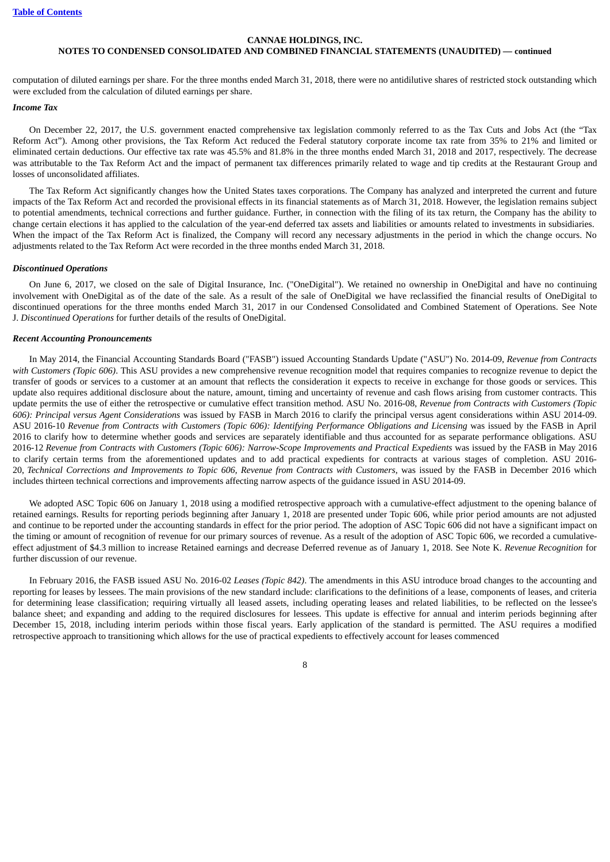## **NOTES TO CONDENSED CONSOLIDATED AND COMBINED FINANCIAL STATEMENTS (UNAUDITED) — continued**

computation of diluted earnings per share. For the three months ended March 31, 2018, there were no antidilutive shares of restricted stock outstanding which were excluded from the calculation of diluted earnings per share.

#### *Income Tax*

On December 22, 2017, the U.S. government enacted comprehensive tax legislation commonly referred to as the Tax Cuts and Jobs Act (the "Tax Reform Act"). Among other provisions, the Tax Reform Act reduced the Federal statutory corporate income tax rate from 35% to 21% and limited or eliminated certain deductions. Our effective tax rate was 45.5% and 81.8% in the three months ended March 31, 2018 and 2017, respectively. The decrease was attributable to the Tax Reform Act and the impact of permanent tax differences primarily related to wage and tip credits at the Restaurant Group and losses of unconsolidated affiliates.

The Tax Reform Act significantly changes how the United States taxes corporations. The Company has analyzed and interpreted the current and future impacts of the Tax Reform Act and recorded the provisional effects in its financial statements as of March 31, 2018. However, the legislation remains subject to potential amendments, technical corrections and further guidance. Further, in connection with the filing of its tax return, the Company has the ability to change certain elections it has applied to the calculation of the year-end deferred tax assets and liabilities or amounts related to investments in subsidiaries. When the impact of the Tax Reform Act is finalized, the Company will record any necessary adjustments in the period in which the change occurs. No adjustments related to the Tax Reform Act were recorded in the three months ended March 31, 2018.

#### *Discontinued Operations*

On June 6, 2017, we closed on the sale of Digital Insurance, Inc. ("OneDigital"). We retained no ownership in OneDigital and have no continuing involvement with OneDigital as of the date of the sale. As a result of the sale of OneDigital we have reclassified the financial results of OneDigital to discontinued operations for the three months ended March 31, 2017 in our Condensed Consolidated and Combined Statement of Operations. See Note J. *Discontinued Operations* for further details of the results of OneDigital.

#### *Recent Accounting Pronouncements*

In May 2014, the Financial Accounting Standards Board ("FASB") issued Accounting Standards Update ("ASU") No. 2014-09, *Revenue from Contracts with Customers (Topic 606)*. This ASU provides a new comprehensive revenue recognition model that requires companies to recognize revenue to depict the transfer of goods or services to a customer at an amount that reflects the consideration it expects to receive in exchange for those goods or services. This update also requires additional disclosure about the nature, amount, timing and uncertainty of revenue and cash flows arising from customer contracts. This update permits the use of either the retrospective or cumulative effect transition method. ASU No. 2016-08, *Revenue from Contracts with Customers (Topic 606): Principal versus Agent Considerations* was issued by FASB in March 2016 to clarify the principal versus agent considerations within ASU 2014-09. ASU 2016-10 Revenue from Contracts with Customers (Topic 606): Identifying Performance Obligations and Licensing was issued by the FASB in April 2016 to clarify how to determine whether goods and services are separately identifiable and thus accounted for as separate performance obligations. ASU 2016-12 Revenue from Contracts with Customers (Topic 606): Narrow-Scope Improvements and Practical Expedients was issued by the FASB in May 2016 to clarify certain terms from the aforementioned updates and to add practical expedients for contracts at various stages of completion. ASU 2016- 20, Technical Corrections and Improvements to Topic 606, Revenue from Contracts with Customers, was issued by the FASB in December 2016 which includes thirteen technical corrections and improvements affecting narrow aspects of the guidance issued in ASU 2014-09.

We adopted ASC Topic 606 on January 1, 2018 using a modified retrospective approach with a cumulative-effect adjustment to the opening balance of retained earnings. Results for reporting periods beginning after January 1, 2018 are presented under Topic 606, while prior period amounts are not adjusted and continue to be reported under the accounting standards in effect for the prior period. The adoption of ASC Topic 606 did not have a significant impact on the timing or amount of recognition of revenue for our primary sources of revenue. As a result of the adoption of ASC Topic 606, we recorded a cumulativeeffect adjustment of \$4.3 million to increase Retained earnings and decrease Deferred revenue as of January 1, 2018. See Note K. *Revenue Recognition* for further discussion of our revenue.

In February 2016, the FASB issued ASU No. 2016-02 *Leases (Topic 842)*. The amendments in this ASU introduce broad changes to the accounting and reporting for leases by lessees. The main provisions of the new standard include: clarifications to the definitions of a lease, components of leases, and criteria for determining lease classification; requiring virtually all leased assets, including operating leases and related liabilities, to be reflected on the lessee's balance sheet; and expanding and adding to the required disclosures for lessees. This update is effective for annual and interim periods beginning after December 15, 2018, including interim periods within those fiscal years. Early application of the standard is permitted. The ASU requires a modified retrospective approach to transitioning which allows for the use of practical expedients to effectively account for leases commenced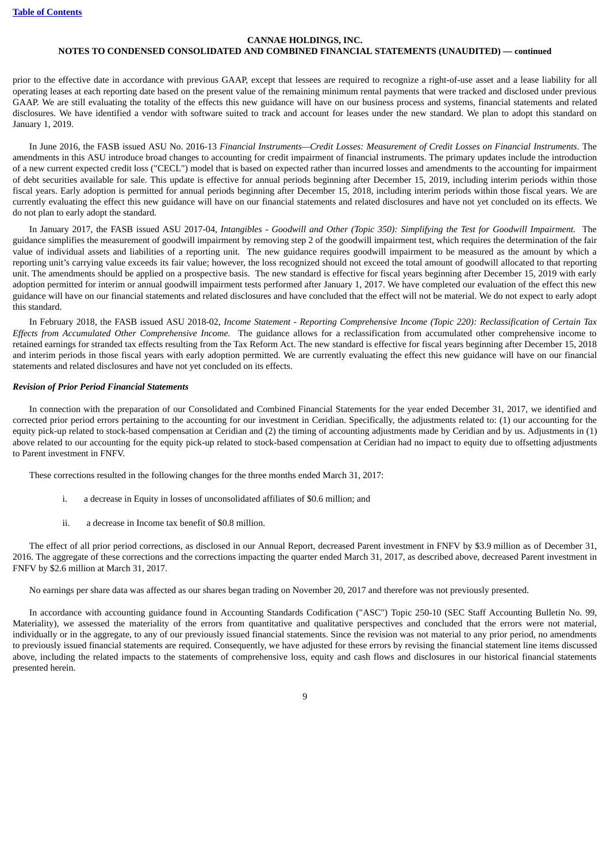## **NOTES TO CONDENSED CONSOLIDATED AND COMBINED FINANCIAL STATEMENTS (UNAUDITED) — continued**

prior to the effective date in accordance with previous GAAP, except that lessees are required to recognize a right-of-use asset and a lease liability for all operating leases at each reporting date based on the present value of the remaining minimum rental payments that were tracked and disclosed under previous GAAP. We are still evaluating the totality of the effects this new guidance will have on our business process and systems, financial statements and related disclosures. We have identified a vendor with software suited to track and account for leases under the new standard. We plan to adopt this standard on January 1, 2019.

In June 2016, the FASB issued ASU No. 2016-13 *Financial Instruments—Credit Losses: Measurement of Credit Losses on Financial Instruments*. The amendments in this ASU introduce broad changes to accounting for credit impairment of financial instruments. The primary updates include the introduction of a new current expected credit loss ("CECL") model that is based on expected rather than incurred losses and amendments to the accounting for impairment of debt securities available for sale. This update is effective for annual periods beginning after December 15, 2019, including interim periods within those fiscal years. Early adoption is permitted for annual periods beginning after December 15, 2018, including interim periods within those fiscal years. We are currently evaluating the effect this new guidance will have on our financial statements and related disclosures and have not yet concluded on its effects. We do not plan to early adopt the standard.

In January 2017, the FASB issued ASU 2017-04, Intangibles - Goodwill and Other (Topic 350): Simplifying the Test for Goodwill Impairment. The guidance simplifies the measurement of goodwill impairment by removing step 2 of the goodwill impairment test, which requires the determination of the fair value of individual assets and liabilities of a reporting unit. The new guidance requires goodwill impairment to be measured as the amount by which a reporting unit's carrying value exceeds its fair value; however, the loss recognized should not exceed the total amount of goodwill allocated to that reporting unit. The amendments should be applied on a prospective basis. The new standard is effective for fiscal years beginning after December 15, 2019 with early adoption permitted for interim or annual goodwill impairment tests performed after January 1, 2017. We have completed our evaluation of the effect this new guidance will have on our financial statements and related disclosures and have concluded that the effect will not be material. We do not expect to early adopt this standard.

In February 2018, the FASB issued ASU 2018-02, Income Statement - Reporting Comprehensive Income (Topic 220): Reclassification of Certain Tax *Effects from Accumulated Other Comprehensive Income.* The guidance allows for a reclassification from accumulated other comprehensive income to retained earnings for stranded tax effects resulting from the Tax Reform Act. The new standard is effective for fiscal years beginning after December 15, 2018 and interim periods in those fiscal years with early adoption permitted. We are currently evaluating the effect this new guidance will have on our financial statements and related disclosures and have not yet concluded on its effects.

#### *Revision of Prior Period Financial Statements*

In connection with the preparation of our Consolidated and Combined Financial Statements for the year ended December 31, 2017, we identified and corrected prior period errors pertaining to the accounting for our investment in Ceridian. Specifically, the adjustments related to: (1) our accounting for the equity pick-up related to stock-based compensation at Ceridian and (2) the timing of accounting adjustments made by Ceridian and by us. Adjustments in (1) above related to our accounting for the equity pick-up related to stock-based compensation at Ceridian had no impact to equity due to offsetting adjustments to Parent investment in FNFV.

These corrections resulted in the following changes for the three months ended March 31, 2017:

- i. a decrease in Equity in losses of unconsolidated affiliates of \$0.6 million; and
- ii. a decrease in Income tax benefit of \$0.8 million.

The effect of all prior period corrections, as disclosed in our Annual Report, decreased Parent investment in FNFV by \$3.9 million as of December 31, 2016. The aggregate of these corrections and the corrections impacting the quarter ended March 31, 2017, as described above, decreased Parent investment in FNFV by \$2.6 million at March 31, 2017.

No earnings per share data was affected as our shares began trading on November 20, 2017 and therefore was not previously presented.

In accordance with accounting guidance found in Accounting Standards Codification ("ASC") Topic 250-10 (SEC Staff Accounting Bulletin No. 99, Materiality), we assessed the materiality of the errors from quantitative and qualitative perspectives and concluded that the errors were not material, individually or in the aggregate, to any of our previously issued financial statements. Since the revision was not material to any prior period, no amendments to previously issued financial statements are required. Consequently, we have adjusted for these errors by revising the financial statement line items discussed above, including the related impacts to the statements of comprehensive loss, equity and cash flows and disclosures in our historical financial statements presented herein.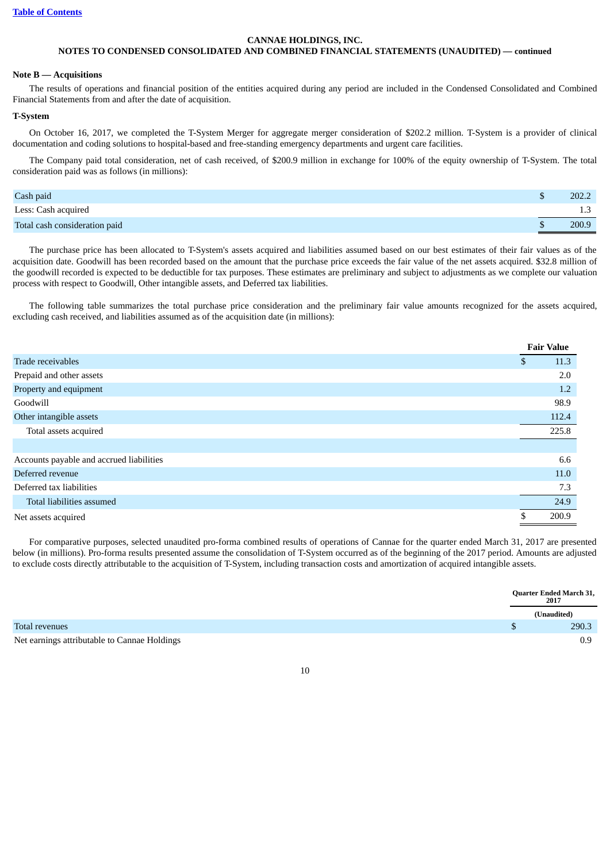## **NOTES TO CONDENSED CONSOLIDATED AND COMBINED FINANCIAL STATEMENTS (UNAUDITED) — continued**

#### **Note B — Acquisitions**

The results of operations and financial position of the entities acquired during any period are included in the Condensed Consolidated and Combined Financial Statements from and after the date of acquisition.

#### **T-System**

On October 16, 2017, we completed the T-System Merger for aggregate merger consideration of \$202.2 million. T-System is a provider of clinical documentation and coding solutions to hospital-based and free-standing emergency departments and urgent care facilities.

The Company paid total consideration, net of cash received, of \$200.9 million in exchange for 100% of the equity ownership of T-System. The total consideration paid was as follows (in millions):

| Cash paid                     | 202.2 |
|-------------------------------|-------|
| Less: Cash acquired           |       |
| Total cash consideration paid | 200.9 |

The purchase price has been allocated to T-System's assets acquired and liabilities assumed based on our best estimates of their fair values as of the acquisition date. Goodwill has been recorded based on the amount that the purchase price exceeds the fair value of the net assets acquired. \$32.8 million of the goodwill recorded is expected to be deductible for tax purposes. These estimates are preliminary and subject to adjustments as we complete our valuation process with respect to Goodwill, Other intangible assets, and Deferred tax liabilities.

The following table summarizes the total purchase price consideration and the preliminary fair value amounts recognized for the assets acquired, excluding cash received, and liabilities assumed as of the acquisition date (in millions):

|                                          | <b>Fair Value</b> |
|------------------------------------------|-------------------|
| Trade receivables                        | \$<br>11.3        |
| Prepaid and other assets                 | 2.0               |
| Property and equipment                   | 1.2               |
| Goodwill                                 | 98.9              |
| Other intangible assets                  | 112.4             |
| Total assets acquired                    | 225.8             |
|                                          |                   |
| Accounts payable and accrued liabilities | 6.6               |
| Deferred revenue                         | 11.0              |
| Deferred tax liabilities                 | 7.3               |
| Total liabilities assumed                | 24.9              |
| Net assets acquired                      | 200.9             |

For comparative purposes, selected unaudited pro-forma combined results of operations of Cannae for the quarter ended March 31, 2017 are presented below (in millions). Pro-forma results presented assume the consolidation of T-System occurred as of the beginning of the 2017 period. Amounts are adjusted to exclude costs directly attributable to the acquisition of T-System, including transaction costs and amortization of acquired intangible assets.

|                                              | Quarter Ended March 31,<br>2017 |
|----------------------------------------------|---------------------------------|
|                                              | (Unaudited)                     |
| Total revenues                               | 290.3                           |
| Net earnings attributable to Cannae Holdings | 0.9                             |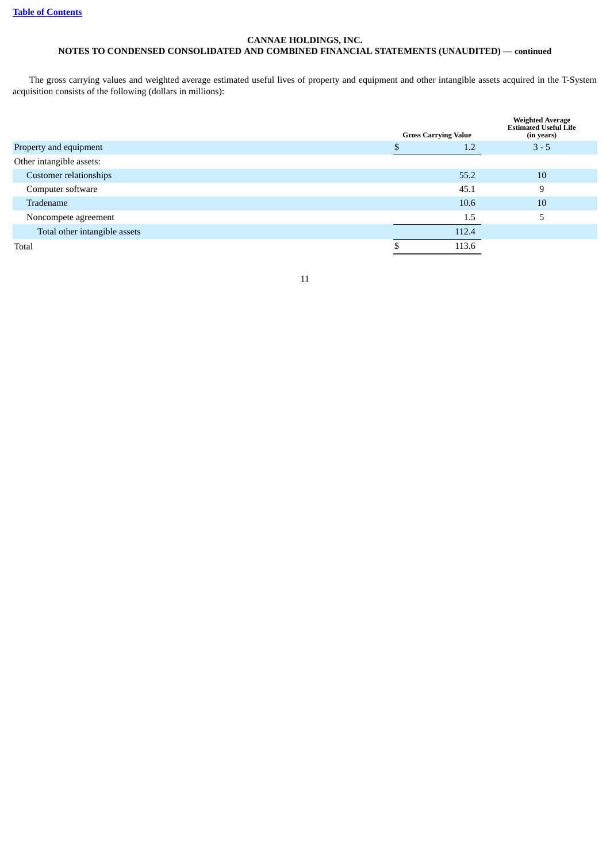# **NOTES TO CONDENSED CONSOLIDATED AND COMBINED FINANCIAL STATEMENTS (UNAUDITED) — continued**

The gross carrying values and weighted average estimated useful lives of property and equipment and other intangible assets acquired in the T-System acquisition consists of the following (dollars in millions):

|                               | <b>Gross Carrying Value</b> | <b>Weighted Average</b><br><b>Estimated Useful Life</b><br>(in years) |
|-------------------------------|-----------------------------|-----------------------------------------------------------------------|
| Property and equipment        | 1.2                         | $3 - 5$                                                               |
| Other intangible assets:      |                             |                                                                       |
| <b>Customer relationships</b> | 55.2                        | 10                                                                    |
| Computer software             | 45.1                        | 9                                                                     |
| Tradename                     | 10.6                        | 10                                                                    |
| Noncompete agreement          | 1.5                         | 5                                                                     |
| Total other intangible assets | 112.4                       |                                                                       |
| Total                         | 113.6                       |                                                                       |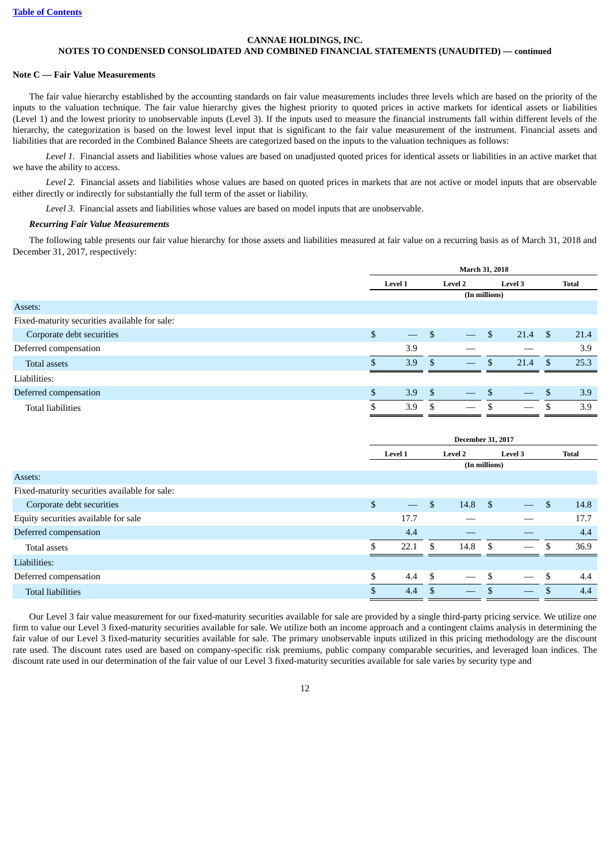## **NOTES TO CONDENSED CONSOLIDATED AND COMBINED FINANCIAL STATEMENTS (UNAUDITED) — continued**

## **Note C — Fair Value Measurements**

The fair value hierarchy established by the accounting standards on fair value measurements includes three levels which are based on the priority of the inputs to the valuation technique. The fair value hierarchy gives the highest priority to quoted prices in active markets for identical assets or liabilities (Level 1) and the lowest priority to unobservable inputs (Level 3). If the inputs used to measure the financial instruments fall within different levels of the hierarchy, the categorization is based on the lowest level input that is significant to the fair value measurement of the instrument. Financial assets and liabilities that are recorded in the Combined Balance Sheets are categorized based on the inputs to the valuation techniques as follows:

Level 1. Financial assets and liabilities whose values are based on unadjusted quoted prices for identical assets or liabilities in an active market that we have the ability to access.

*Level 2.* Financial assets and liabilities whose values are based on quoted prices in markets that are not active or model inputs that are observable either directly or indirectly for substantially the full term of the asset or liability.

*Level 3.* Financial assets and liabilities whose values are based on model inputs that are unobservable.

## *Recurring Fair Value Measurements*

The following table presents our fair value hierarchy for those assets and liabilities measured at fair value on a recurring basis as of March 31, 2018 and December 31, 2017, respectively:

|                                               | March 31, 2018 |         |               |                          |               |      |     |              |
|-----------------------------------------------|----------------|---------|---------------|--------------------------|---------------|------|-----|--------------|
|                                               |                | Level 1 |               | Level 2                  | Level 3       |      |     | <b>Total</b> |
|                                               |                |         |               | (In millions)            |               |      |     |              |
| Assets:                                       |                |         |               |                          |               |      |     |              |
| Fixed-maturity securities available for sale: |                |         |               |                          |               |      |     |              |
| Corporate debt securities                     | \$             |         | <sup>\$</sup> | $\qquad \qquad -$        | <sup>\$</sup> | 21.4 | -\$ | 21.4         |
| Deferred compensation                         |                | 3.9     |               |                          |               |      |     | 3.9          |
| Total assets                                  |                | 3.9     | -\$           | $\overline{\phantom{0}}$ | -\$           | 21.4 | -S  | 25.3         |
| Liabilities:                                  |                |         |               |                          |               |      |     |              |
| Deferred compensation                         | \$             | 3.9     | -\$           | $\overline{\phantom{0}}$ |               |      | \$  | 3.9          |
| <b>Total liabilities</b>                      |                | 3.9     | -\$           |                          |               |      |     | 3.9          |
|                                               |                |         |               |                          |               |      |     |              |

|                                               | <b>December 31, 2017</b>  |                          |               |               |          |              |     |      |
|-----------------------------------------------|---------------------------|--------------------------|---------------|---------------|----------|--------------|-----|------|
|                                               | Level 1<br><b>Level 2</b> |                          | Level 3       |               |          | <b>Total</b> |     |      |
|                                               |                           |                          |               | (In millions) |          |              |     |      |
| Assets:                                       |                           |                          |               |               |          |              |     |      |
| Fixed-maturity securities available for sale: |                           |                          |               |               |          |              |     |      |
| Corporate debt securities                     | \$                        | $\overline{\phantom{m}}$ | <sup>\$</sup> | 14.8          | $\sim$ s |              | \$  | 14.8 |
| Equity securities available for sale          |                           | 17.7                     |               |               |          |              |     | 17.7 |
| Deferred compensation                         |                           | 4.4                      |               |               |          |              |     | 4.4  |
| Total assets                                  |                           | 22.1                     | ß.            | 14.8          | .S       |              |     | 36.9 |
| Liabilities:                                  |                           |                          |               |               |          |              |     |      |
| Deferred compensation                         | \$                        | 4.4                      | \$            |               |          |              | \$. | 4.4  |
| <b>Total liabilities</b>                      | \$.                       | 4.4                      |               |               |          |              |     | 4.4  |

Our Level 3 fair value measurement for our fixed-maturity securities available for sale are provided by a single third-party pricing service. We utilize one firm to value our Level 3 fixed-maturity securities available for sale. We utilize both an income approach and a contingent claims analysis in determining the fair value of our Level 3 fixed-maturity securities available for sale. The primary unobservable inputs utilized in this pricing methodology are the discount rate used. The discount rates used are based on company-specific risk premiums, public company comparable securities, and leveraged loan indices. The discount rate used in our determination of the fair value of our Level 3 fixed-maturity securities available for sale varies by security type and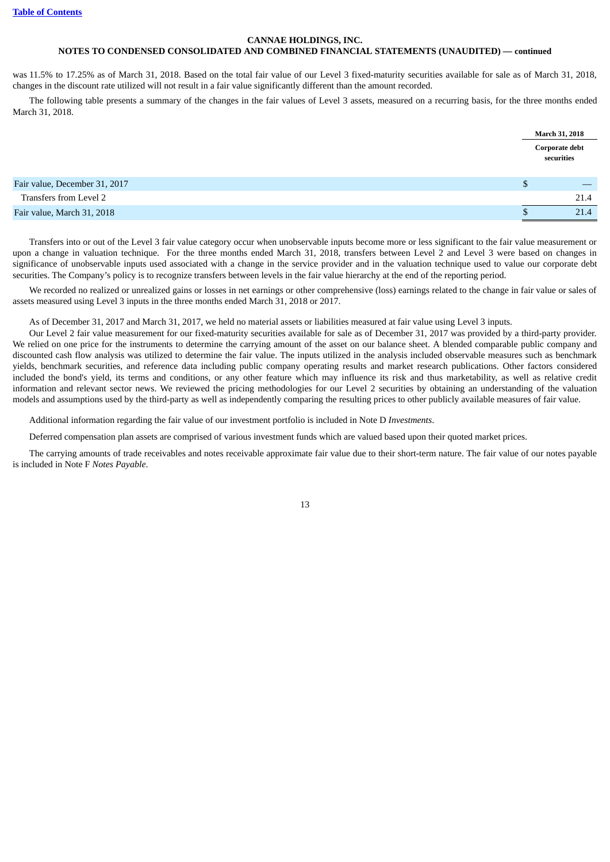## **NOTES TO CONDENSED CONSOLIDATED AND COMBINED FINANCIAL STATEMENTS (UNAUDITED) — continued**

was 11.5% to 17.25% as of March 31, 2018. Based on the total fair value of our Level 3 fixed-maturity securities available for sale as of March 31, 2018, changes in the discount rate utilized will not result in a fair value significantly different than the amount recorded.

The following table presents a summary of the changes in the fair values of Level 3 assets, measured on a recurring basis, for the three months ended March 31, 2018.

|                               |   | March 31, 2018               |
|-------------------------------|---|------------------------------|
|                               |   | Corporate debt<br>securities |
| Fair value, December 31, 2017 | S |                              |
| Transfers from Level 2        |   | 21.4                         |
| Fair value, March 31, 2018    | Ъ | 21.4                         |

Transfers into or out of the Level 3 fair value category occur when unobservable inputs become more or less significant to the fair value measurement or upon a change in valuation technique. For the three months ended March 31, 2018, transfers between Level 2 and Level 3 were based on changes in significance of unobservable inputs used associated with a change in the service provider and in the valuation technique used to value our corporate debt securities. The Company's policy is to recognize transfers between levels in the fair value hierarchy at the end of the reporting period.

We recorded no realized or unrealized gains or losses in net earnings or other comprehensive (loss) earnings related to the change in fair value or sales of assets measured using Level 3 inputs in the three months ended March 31, 2018 or 2017.

As of December 31, 2017 and March 31, 2017, we held no material assets or liabilities measured at fair value using Level 3 inputs.

Our Level 2 fair value measurement for our fixed-maturity securities available for sale as of December 31, 2017 was provided by a third-party provider. We relied on one price for the instruments to determine the carrying amount of the asset on our balance sheet. A blended comparable public company and discounted cash flow analysis was utilized to determine the fair value. The inputs utilized in the analysis included observable measures such as benchmark yields, benchmark securities, and reference data including public company operating results and market research publications. Other factors considered included the bond's yield, its terms and conditions, or any other feature which may influence its risk and thus marketability, as well as relative credit information and relevant sector news. We reviewed the pricing methodologies for our Level 2 securities by obtaining an understanding of the valuation models and assumptions used by the third-party as well as independently comparing the resulting prices to other publicly available measures of fair value.

Additional information regarding the fair value of our investment portfolio is included in Note D *Investments*.

Deferred compensation plan assets are comprised of various investment funds which are valued based upon their quoted market prices.

The carrying amounts of trade receivables and notes receivable approximate fair value due to their short-term nature. The fair value of our notes payable is included in Note F *Notes Payable*.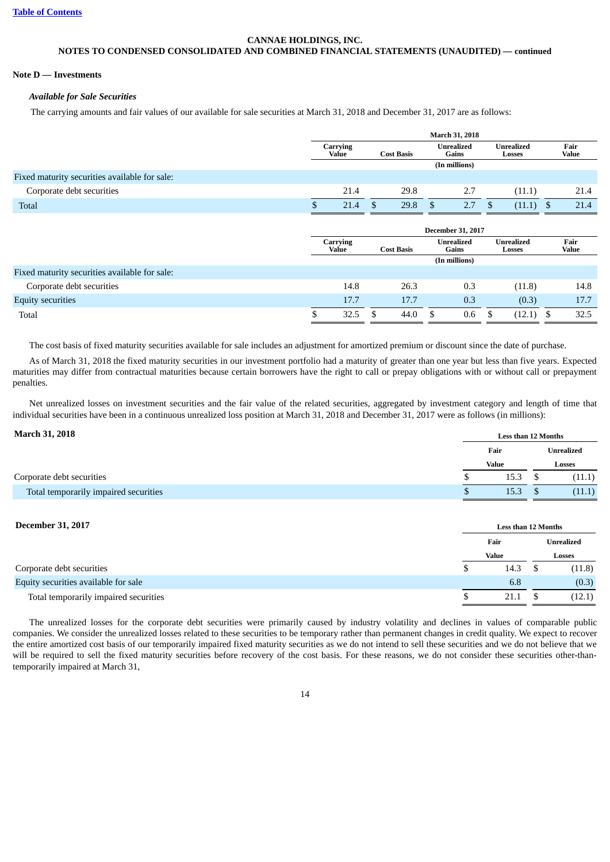# **NOTES TO CONDENSED CONSOLIDATED AND COMBINED FINANCIAL STATEMENTS (UNAUDITED) — continued**

## **Note D — Investments**

## *Available for Sale Securities*

The carrying amounts and fair values of our available for sale securities at March 31, 2018 and December 31, 2017 are as follows:

|                                               | <b>March 31, 2018</b> |                   |                          |                                                    |                             |           |               |
|-----------------------------------------------|-----------------------|-------------------|--------------------------|----------------------------------------------------|-----------------------------|-----------|---------------|
|                                               | Carrying<br>Value     | <b>Cost Basis</b> | Unrealized<br>Gains      |                                                    | <b>Unrealized</b><br>Losses |           | Fair<br>Value |
|                                               |                       |                   | (In millions)            |                                                    |                             |           |               |
| Fixed maturity securities available for sale: |                       |                   |                          |                                                    |                             |           |               |
| Corporate debt securities                     | 21.4                  | 29.8              | 2.7                      |                                                    | (11.1)                      |           | 21.4          |
| <b>Total</b>                                  | 21.4                  | 29.8<br>\$.       | 2.7<br><sup>\$</sup>     | <sup>\$</sup>                                      | (11.1)                      | $\sim$ \$ | 21.4          |
|                                               |                       |                   |                          |                                                    |                             |           |               |
|                                               |                       |                   | <b>December 31, 2017</b> |                                                    |                             |           |               |
|                                               | Carrying<br>Value     | <b>Cost Basis</b> |                          | Unrealized<br><b>Unrealized</b><br>Gains<br>Losses |                             |           | Fair<br>Value |
|                                               |                       |                   |                          |                                                    |                             |           |               |
|                                               |                       |                   | (In millions)            |                                                    |                             |           |               |
| Fixed maturity securities available for sale: |                       |                   |                          |                                                    |                             |           |               |
| Corporate debt securities                     | 14.8                  | 26.3              | 0.3                      |                                                    | (11.8)                      |           | 14.8          |
| <b>Equity securities</b>                      | 17.7                  | 17.7              | 0.3                      |                                                    | (0.3)                       |           | 17.7          |

The cost basis of fixed maturity securities available for sale includes an adjustment for amortized premium or discount since the date of purchase.

As of March 31, 2018 the fixed maturity securities in our investment portfolio had a maturity of greater than one year but less than five years. Expected maturities may differ from contractual maturities because certain borrowers have the right to call or prepay obligations with or without call or prepayment penalties.

Net unrealized losses on investment securities and the fair value of the related securities, aggregated by investment category and length of time that individual securities have been in a continuous unrealized loss position at March 31, 2018 and December 31, 2017 were as follows (in millions):

# **March 31, 2018 Less than 12 Months**

|                                       |       | Fair |  | Unrealized |  |
|---------------------------------------|-------|------|--|------------|--|
|                                       | Value |      |  | Losses     |  |
| Corporate debt securities             |       | 15.3 |  | (11.1)     |  |
| Total temporarily impaired securities |       | 15.3 |  | (11.1)     |  |

| <b>December 31, 2017</b>              |  | <b>Less than 12 Months</b> |  |        |  |            |
|---------------------------------------|--|----------------------------|--|--------|--|------------|
|                                       |  | Fair<br><b>Value</b>       |  |        |  | Unrealized |
|                                       |  |                            |  | Losses |  |            |
| Corporate debt securities             |  | 14.3                       |  | (11.8) |  |            |
| Equity securities available for sale  |  | 6.8                        |  | (0.3)  |  |            |
| Total temporarily impaired securities |  | 21.1                       |  | (12.1) |  |            |

The unrealized losses for the corporate debt securities were primarily caused by industry volatility and declines in values of comparable public companies. We consider the unrealized losses related to these securities to be temporary rather than permanent changes in credit quality. We expect to recover the entire amortized cost basis of our temporarily impaired fixed maturity securities as we do not intend to sell these securities and we do not believe that we will be required to sell the fixed maturity securities before recovery of the cost basis. For these reasons, we do not consider these securities other-thantemporarily impaired at March 31,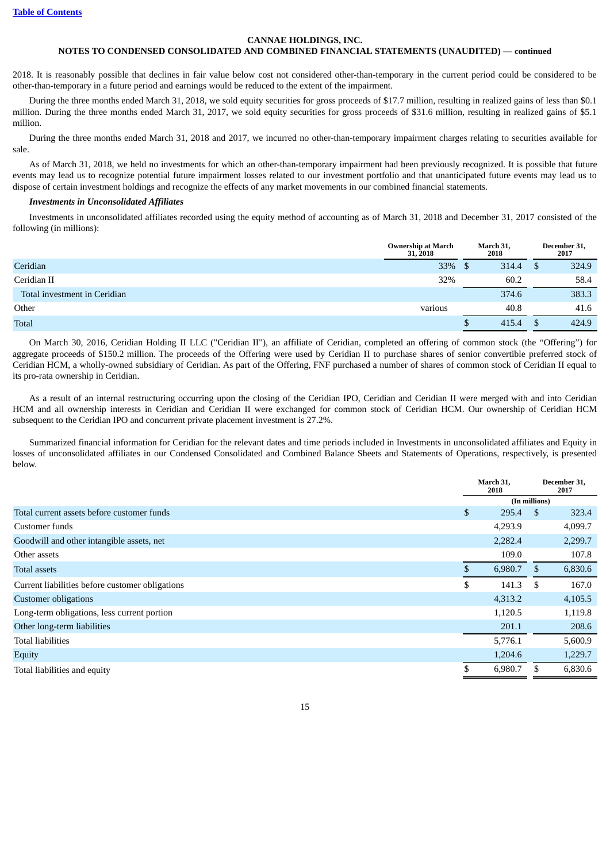## **NOTES TO CONDENSED CONSOLIDATED AND COMBINED FINANCIAL STATEMENTS (UNAUDITED) — continued**

2018. It is reasonably possible that declines in fair value below cost not considered other-than-temporary in the current period could be considered to be other-than-temporary in a future period and earnings would be reduced to the extent of the impairment.

During the three months ended March 31, 2018, we sold equity securities for gross proceeds of \$17.7 million, resulting in realized gains of less than \$0.1 million. During the three months ended March 31, 2017, we sold equity securities for gross proceeds of \$31.6 million, resulting in realized gains of \$5.1 million.

During the three months ended March 31, 2018 and 2017, we incurred no other-than-temporary impairment charges relating to securities available for sale.

As of March 31, 2018, we held no investments for which an other-than-temporary impairment had been previously recognized. It is possible that future events may lead us to recognize potential future impairment losses related to our investment portfolio and that unanticipated future events may lead us to dispose of certain investment holdings and recognize the effects of any market movements in our combined financial statements.

#### *Investments in Unconsolidated Affiliates*

Investments in unconsolidated affiliates recorded using the equity method of accounting as of March 31, 2018 and December 31, 2017 consisted of the following (in millions):

|                              | <b>Ownership at March</b><br>31, 2018 | March 31,<br>2018 |       | December 31,<br>2017 |       |  |
|------------------------------|---------------------------------------|-------------------|-------|----------------------|-------|--|
| Ceridian                     | 33%                                   |                   | 314.4 |                      | 324.9 |  |
| Ceridian II                  | 32%                                   |                   | 60.2  |                      | 58.4  |  |
| Total investment in Ceridian |                                       |                   | 374.6 |                      | 383.3 |  |
| Other                        | various                               |                   | 40.8  |                      | 41.6  |  |
| <b>Total</b>                 |                                       | D                 | 415.4 |                      | 424.9 |  |

On March 30, 2016, Ceridian Holding II LLC ("Ceridian II"), an affiliate of Ceridian, completed an offering of common stock (the "Offering") for aggregate proceeds of \$150.2 million. The proceeds of the Offering were used by Ceridian II to purchase shares of senior convertible preferred stock of Ceridian HCM, a wholly-owned subsidiary of Ceridian. As part of the Offering, FNF purchased a number of shares of common stock of Ceridian II equal to its pro-rata ownership in Ceridian.

As a result of an internal restructuring occurring upon the closing of the Ceridian IPO, Ceridian and Ceridian II were merged with and into Ceridian HCM and all ownership interests in Ceridian and Ceridian II were exchanged for common stock of Ceridian HCM. Our ownership of Ceridian HCM subsequent to the Ceridian IPO and concurrent private placement investment is 27.2%.

Summarized financial information for Ceridian for the relevant dates and time periods included in Investments in unconsolidated affiliates and Equity in losses of unconsolidated affiliates in our Condensed Consolidated and Combined Balance Sheets and Statements of Operations, respectively, is presented below.

|                                                 | March 31,<br>2018 |         |               | December 31,<br>2017 |
|-------------------------------------------------|-------------------|---------|---------------|----------------------|
|                                                 |                   |         | (In millions) |                      |
| Total current assets before customer funds      | \$                | 295.4   | \$            | 323.4                |
| Customer funds                                  |                   | 4,293.9 |               | 4,099.7              |
| Goodwill and other intangible assets, net       |                   | 2,282.4 |               | 2,299.7              |
| Other assets                                    |                   | 109.0   |               | 107.8                |
| Total assets                                    |                   | 6,980.7 | S             | 6,830.6              |
| Current liabilities before customer obligations | \$                | 141.3   | \$.           | 167.0                |
| <b>Customer obligations</b>                     |                   | 4,313.2 |               | 4,105.5              |
| Long-term obligations, less current portion     |                   | 1,120.5 |               | 1,119.8              |
| Other long-term liabilities                     |                   | 201.1   |               | 208.6                |
| <b>Total liabilities</b>                        |                   | 5,776.1 |               | 5,600.9              |
| Equity                                          |                   | 1,204.6 |               | 1,229.7              |
| Total liabilities and equity                    | \$                | 6,980.7 | S             | 6,830.6              |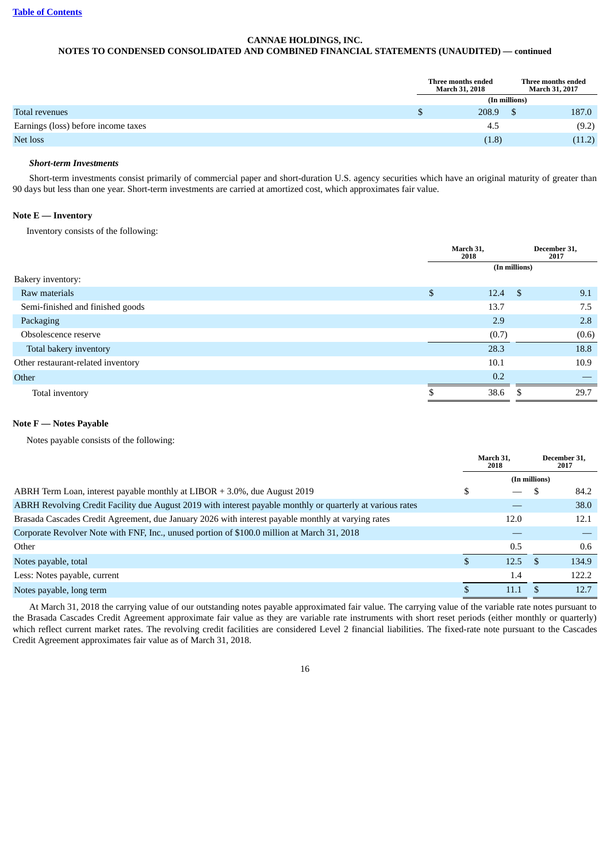# **CANNAE HOLDINGS, INC. NOTES TO CONDENSED CONSOLIDATED AND COMBINED FINANCIAL STATEMENTS (UNAUDITED) — continued**

|                                     |    | Three months ended<br><b>March 31, 2018</b> |  | Three months ended<br>March 31, 2017 |  |
|-------------------------------------|----|---------------------------------------------|--|--------------------------------------|--|
|                                     |    | (In millions)                               |  |                                      |  |
| Total revenues                      | J. | 208.9                                       |  | 187.0                                |  |
| Earnings (loss) before income taxes |    | 4.5                                         |  | (9.2)                                |  |
| Net loss                            |    | (1.8)                                       |  | (11.2)                               |  |

#### *Short-term Investments*

Short-term investments consist primarily of commercial paper and short-duration U.S. agency securities which have an original maturity of greater than 90 days but less than one year. Short-term investments are carried at amortized cost, which approximates fair value.

## **Note E — Inventory**

Inventory consists of the following:

|                                    |                | March 31,<br>2018 | December 31,<br>2017 |
|------------------------------------|----------------|-------------------|----------------------|
|                                    |                | (In millions)     |                      |
| Bakery inventory:                  |                |                   |                      |
| Raw materials                      | $\mathfrak{s}$ | $12.4$ \$         | 9.1                  |
| Semi-finished and finished goods   |                | 13.7              | 7.5                  |
| Packaging                          |                | 2.9               | 2.8                  |
| Obsolescence reserve               |                | (0.7)             | (0.6)                |
| Total bakery inventory             |                | 28.3              | 18.8                 |
| Other restaurant-related inventory |                | 10.1              | 10.9                 |
| Other                              |                | 0.2               |                      |
| Total inventory                    |                | 38.6              | 29.7<br>£.           |
|                                    |                |                   |                      |

#### **Note F — Notes Payable**

Notes payable consists of the following:

|                                                                                                            |               | March 31.<br>2018 |    | December 31.<br>2017 |
|------------------------------------------------------------------------------------------------------------|---------------|-------------------|----|----------------------|
|                                                                                                            | (In millions) |                   |    |                      |
| ABRH Term Loan, interest payable monthly at LIBOR $+$ 3.0%, due August 2019                                | \$            |                   | D  | 84.2                 |
| ABRH Revolving Credit Facility due August 2019 with interest payable monthly or quarterly at various rates |               |                   |    | 38.0                 |
| Brasada Cascades Credit Agreement, due January 2026 with interest payable monthly at varying rates         |               | 12.0              |    | 12.1                 |
| Corporate Revolver Note with FNF, Inc., unused portion of \$100.0 million at March 31, 2018                |               |                   |    |                      |
| Other                                                                                                      |               | 0.5               |    | 0.6                  |
| Notes payable, total                                                                                       | \$            | 12.5              | .S | 134.9                |
| Less: Notes payable, current                                                                               |               | 1.4               |    | 122.2                |
| Notes payable, long term                                                                                   |               | 11.1              |    | 12.7                 |

At March 31, 2018 the carrying value of our outstanding notes payable approximated fair value. The carrying value of the variable rate notes pursuant to the Brasada Cascades Credit Agreement approximate fair value as they are variable rate instruments with short reset periods (either monthly or quarterly) which reflect current market rates. The revolving credit facilities are considered Level 2 financial liabilities. The fixed-rate note pursuant to the Cascades Credit Agreement approximates fair value as of March 31, 2018.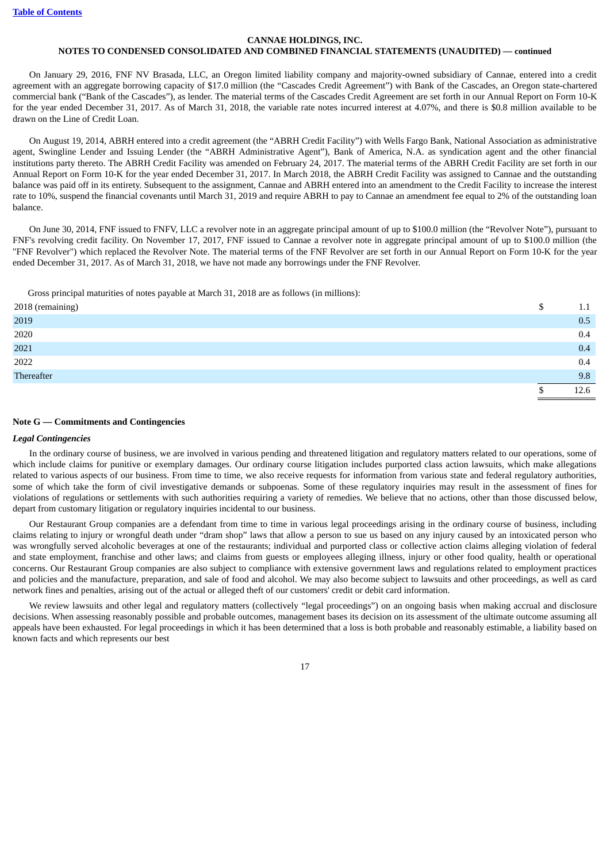# **NOTES TO CONDENSED CONSOLIDATED AND COMBINED FINANCIAL STATEMENTS (UNAUDITED) — continued**

On January 29, 2016, FNF NV Brasada, LLC, an Oregon limited liability company and majority-owned subsidiary of Cannae, entered into a credit agreement with an aggregate borrowing capacity of \$17.0 million (the "Cascades Credit Agreement") with Bank of the Cascades, an Oregon state-chartered commercial bank ("Bank of the Cascades"), as lender. The material terms of the Cascades Credit Agreement are set forth in our Annual Report on Form 10-K for the year ended December 31, 2017. As of March 31, 2018, the variable rate notes incurred interest at 4.07%, and there is \$0.8 million available to be drawn on the Line of Credit Loan.

On August 19, 2014, ABRH entered into a credit agreement (the "ABRH Credit Facility") with Wells Fargo Bank, National Association as administrative agent, Swingline Lender and Issuing Lender (the "ABRH Administrative Agent"), Bank of America, N.A. as syndication agent and the other financial institutions party thereto. The ABRH Credit Facility was amended on February 24, 2017. The material terms of the ABRH Credit Facility are set forth in our Annual Report on Form 10-K for the year ended December 31, 2017. In March 2018, the ABRH Credit Facility was assigned to Cannae and the outstanding balance was paid off in its entirety. Subsequent to the assignment, Cannae and ABRH entered into an amendment to the Credit Facility to increase the interest rate to 10%, suspend the financial covenants until March 31, 2019 and require ABRH to pay to Cannae an amendment fee equal to 2% of the outstanding loan balance.

On June 30, 2014, FNF issued to FNFV, LLC a revolver note in an aggregate principal amount of up to \$100.0 million (the "Revolver Note"), pursuant to FNF's revolving credit facility. On November 17, 2017, FNF issued to Cannae a revolver note in aggregate principal amount of up to \$100.0 million (the "FNF Revolver") which replaced the Revolver Note. The material terms of the FNF Revolver are set forth in our Annual Report on Form 10-K for the year ended December 31, 2017. As of March 31, 2018, we have not made any borrowings under the FNF Revolver.

Gross principal maturities of notes payable at March 31, 2018 are as follows (in millions):

| 2018 (remaining) | D | 1.1  |
|------------------|---|------|
| 2019             |   | 0.5  |
| 2020             |   | 0.4  |
| 2021             |   | 0.4  |
| 2022             |   | 0.4  |
| Thereafter       |   | 9.8  |
|                  |   | 12.6 |

#### **Note G — Commitments and Contingencies**

#### *Legal Contingencies*

In the ordinary course of business, we are involved in various pending and threatened litigation and regulatory matters related to our operations, some of which include claims for punitive or exemplary damages. Our ordinary course litigation includes purported class action lawsuits, which make allegations related to various aspects of our business. From time to time, we also receive requests for information from various state and federal regulatory authorities, some of which take the form of civil investigative demands or subpoenas. Some of these regulatory inquiries may result in the assessment of fines for violations of regulations or settlements with such authorities requiring a variety of remedies. We believe that no actions, other than those discussed below, depart from customary litigation or regulatory inquiries incidental to our business.

Our Restaurant Group companies are a defendant from time to time in various legal proceedings arising in the ordinary course of business, including claims relating to injury or wrongful death under "dram shop" laws that allow a person to sue us based on any injury caused by an intoxicated person who was wrongfully served alcoholic beverages at one of the restaurants; individual and purported class or collective action claims alleging violation of federal and state employment, franchise and other laws; and claims from guests or employees alleging illness, injury or other food quality, health or operational concerns. Our Restaurant Group companies are also subject to compliance with extensive government laws and regulations related to employment practices and policies and the manufacture, preparation, and sale of food and alcohol. We may also become subject to lawsuits and other proceedings, as well as card network fines and penalties, arising out of the actual or alleged theft of our customers' credit or debit card information.

We review lawsuits and other legal and regulatory matters (collectively "legal proceedings") on an ongoing basis when making accrual and disclosure decisions. When assessing reasonably possible and probable outcomes, management bases its decision on its assessment of the ultimate outcome assuming all appeals have been exhausted. For legal proceedings in which it has been determined that a loss is both probable and reasonably estimable, a liability based on known facts and which represents our best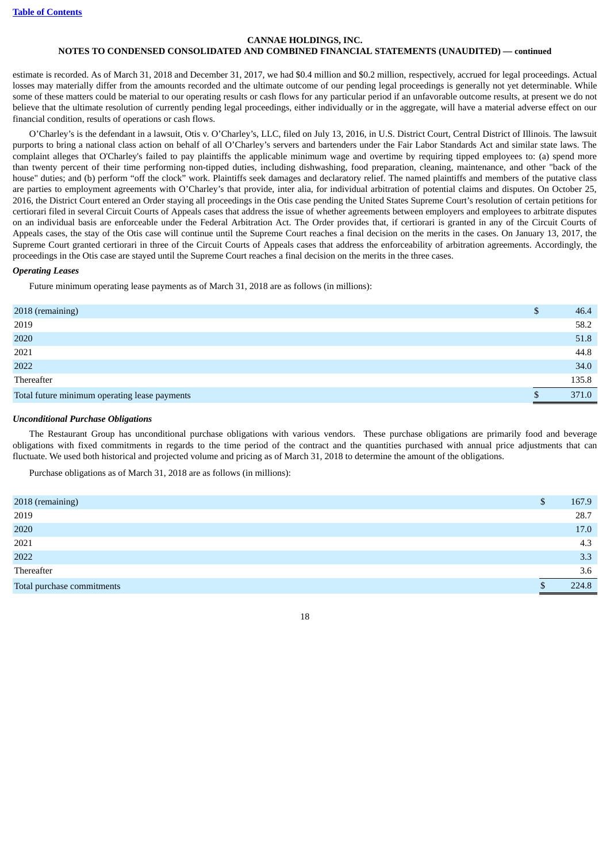## **NOTES TO CONDENSED CONSOLIDATED AND COMBINED FINANCIAL STATEMENTS (UNAUDITED) — continued**

estimate is recorded. As of March 31, 2018 and December 31, 2017, we had \$0.4 million and \$0.2 million, respectively, accrued for legal proceedings. Actual losses may materially differ from the amounts recorded and the ultimate outcome of our pending legal proceedings is generally not yet determinable. While some of these matters could be material to our operating results or cash flows for any particular period if an unfavorable outcome results, at present we do not believe that the ultimate resolution of currently pending legal proceedings, either individually or in the aggregate, will have a material adverse effect on our financial condition, results of operations or cash flows.

O'Charley's is the defendant in a lawsuit, Otis v. O'Charley's, LLC, filed on July 13, 2016, in U.S. District Court, Central District of Illinois. The lawsuit purports to bring a national class action on behalf of all O'Charley's servers and bartenders under the Fair Labor Standards Act and similar state laws. The complaint alleges that O'Charley's failed to pay plaintiffs the applicable minimum wage and overtime by requiring tipped employees to: (a) spend more than twenty percent of their time performing non-tipped duties, including dishwashing, food preparation, cleaning, maintenance, and other "back of the house" duties; and (b) perform "off the clock" work. Plaintiffs seek damages and declaratory relief. The named plaintiffs and members of the putative class are parties to employment agreements with O'Charley's that provide, inter alia, for individual arbitration of potential claims and disputes. On October 25, 2016, the District Court entered an Order staying all proceedings in the Otis case pending the United States Supreme Court's resolution of certain petitions for certiorari filed in several Circuit Courts of Appeals cases that address the issue of whether agreements between employers and employees to arbitrate disputes on an individual basis are enforceable under the Federal Arbitration Act. The Order provides that, if certiorari is granted in any of the Circuit Courts of Appeals cases, the stay of the Otis case will continue until the Supreme Court reaches a final decision on the merits in the cases. On January 13, 2017, the Supreme Court granted certiorari in three of the Circuit Courts of Appeals cases that address the enforceability of arbitration agreements. Accordingly, the proceedings in the Otis case are stayed until the Supreme Court reaches a final decision on the merits in the three cases.

#### *Operating Leases*

Future minimum operating lease payments as of March 31, 2018 are as follows (in millions):

| 2018 (remaining)                              | \$<br>46.4 |
|-----------------------------------------------|------------|
| 2019                                          | 58.2       |
| 2020                                          | 51.8       |
| 2021                                          | 44.8       |
| 2022                                          | 34.0       |
| Thereafter                                    | 135.8      |
| Total future minimum operating lease payments | 371.0      |

#### *Unconditional Purchase Obligations*

The Restaurant Group has unconditional purchase obligations with various vendors. These purchase obligations are primarily food and beverage obligations with fixed commitments in regards to the time period of the contract and the quantities purchased with annual price adjustments that can fluctuate. We used both historical and projected volume and pricing as of March 31, 2018 to determine the amount of the obligations.

Purchase obligations as of March 31, 2018 are as follows (in millions):

| 2018 (remaining)           | \$<br>167.9 |
|----------------------------|-------------|
| 2019                       | 28.7        |
| 2020                       | 17.0        |
| 2021                       | 4.3         |
| 2022                       | 3.3         |
| Thereafter                 | 3.6         |
| Total purchase commitments | 224.8       |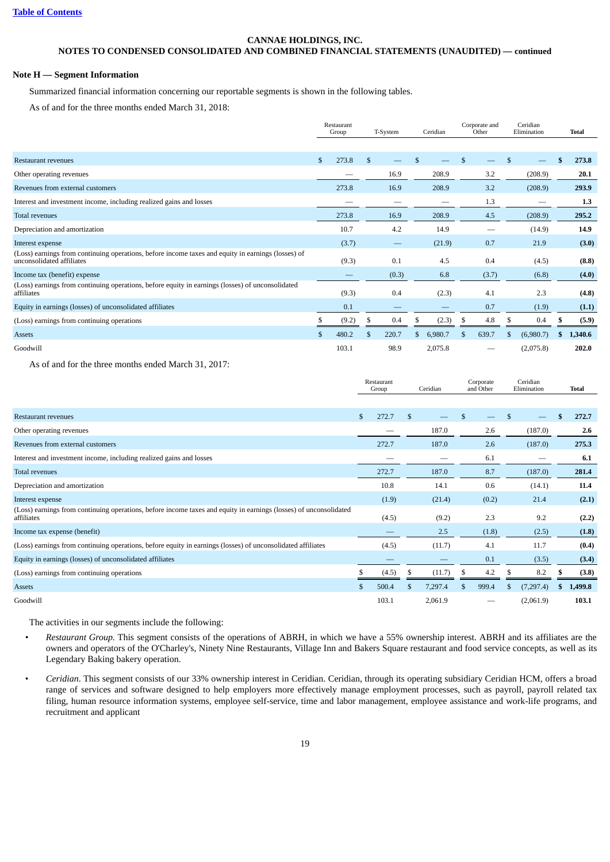# **NOTES TO CONDENSED CONSOLIDATED AND COMBINED FINANCIAL STATEMENTS (UNAUDITED) — continued**

#### **Note H — Segment Information**

Summarized financial information concerning our reportable segments is shown in the following tables.

As of and for the three months ended March 31, 2018:

|                                                                                                                                 | Restaurant<br>Group |       | T-System     |       | Ceridian |         | Corporate and<br>Other |       | Ceridian<br>Elimination |           | <b>Total</b>  |
|---------------------------------------------------------------------------------------------------------------------------------|---------------------|-------|--------------|-------|----------|---------|------------------------|-------|-------------------------|-----------|---------------|
|                                                                                                                                 |                     |       |              |       |          |         |                        |       |                         |           |               |
| <b>Restaurant revenues</b>                                                                                                      | $\mathbb{S}$        | 273.8 | $\mathbf{s}$ |       | \$.      |         | \$.                    |       | <sup>\$</sup>           |           | 273.8         |
| Other operating revenues                                                                                                        |                     |       |              | 16.9  |          | 208.9   |                        | 3.2   |                         | (208.9)   | 20.1          |
| Revenues from external customers                                                                                                |                     | 273.8 |              | 16.9  |          | 208.9   |                        | 3.2   |                         | (208.9)   | 293.9         |
| Interest and investment income, including realized gains and losses                                                             |                     |       |              |       |          |         |                        | 1.3   |                         |           | 1.3           |
| <b>Total revenues</b>                                                                                                           |                     | 273.8 |              | 16.9  |          | 208.9   |                        | 4.5   |                         | (208.9)   | 295.2         |
| Depreciation and amortization                                                                                                   |                     | 10.7  |              | 4.2   |          | 14.9    |                        |       |                         | (14.9)    | 14.9          |
| Interest expense                                                                                                                |                     | (3.7) |              |       |          | (21.9)  |                        | 0.7   |                         | 21.9      | (3.0)         |
| (Loss) earnings from continuing operations, before income taxes and equity in earnings (losses) of<br>unconsolidated affiliates |                     | (9.3) |              | 0.1   |          | 4.5     |                        | 0.4   |                         | (4.5)     | (8.8)         |
| Income tax (benefit) expense                                                                                                    |                     |       |              | (0.3) |          | 6.8     |                        | (3.7) |                         | (6.8)     | (4.0)         |
| (Loss) earnings from continuing operations, before equity in earnings (losses) of unconsolidated<br>affiliates                  |                     | (9.3) |              | 0.4   |          | (2.3)   |                        | 4.1   |                         | 2.3       | (4.8)         |
| Equity in earnings (losses) of unconsolidated affiliates                                                                        |                     | 0.1   |              |       |          |         |                        | 0.7   |                         | (1.9)     | (1.1)         |
| (Loss) earnings from continuing operations                                                                                      |                     | (9.2) |              | 0.4   |          | (2.3)   |                        | 4.8   |                         | 0.4       | (5.9)         |
| Assets                                                                                                                          | \$.                 | 480.2 | \$           | 220.7 | \$       | 6,980.7 | $\mathcal{S}$          | 639.7 | \$                      | (6,980.7) | \$<br>1,340.6 |
| Goodwill                                                                                                                        |                     | 103.1 |              | 98.9  |          | 2,075.8 |                        |       |                         | (2,075.8) | 202.0         |

As of and for the three months ended March 31, 2017:

|                                                                                                                                 | Restaurant<br>Group |       |    | Ceridian | Corporate<br>and Other |       | Ceridian<br>Elimination |           | <b>Total</b>  |
|---------------------------------------------------------------------------------------------------------------------------------|---------------------|-------|----|----------|------------------------|-------|-------------------------|-----------|---------------|
|                                                                                                                                 |                     |       |    |          |                        |       |                         |           |               |
| Restaurant revenues                                                                                                             | $\mathbb{S}$        | 272.7 |    |          | £.                     |       | \$                      |           | 272.7         |
| Other operating revenues                                                                                                        |                     |       |    | 187.0    |                        | 2.6   |                         | (187.0)   | 2.6           |
| Revenues from external customers                                                                                                |                     | 272.7 |    | 187.0    |                        | 2.6   |                         | (187.0)   | 275.3         |
| Interest and investment income, including realized gains and losses                                                             |                     |       |    |          |                        | 6.1   |                         |           | 6.1           |
| Total revenues                                                                                                                  |                     | 272.7 |    | 187.0    |                        | 8.7   |                         | (187.0)   | 281.4         |
| Depreciation and amortization                                                                                                   |                     | 10.8  |    | 14.1     |                        | 0.6   |                         | (14.1)    | 11.4          |
| Interest expense                                                                                                                |                     | (1.9) |    | (21.4)   |                        | (0.2) |                         | 21.4      | (2.1)         |
| (Loss) earnings from continuing operations, before income taxes and equity in earnings (losses) of unconsolidated<br>affiliates |                     | (4.5) |    | (9.2)    |                        | 2.3   |                         | 9.2       | (2.2)         |
| Income tax expense (benefit)                                                                                                    |                     |       |    | 2.5      |                        | (1.8) |                         | (2.5)     | (1.8)         |
| (Loss) earnings from continuing operations, before equity in earnings (losses) of unconsolidated affiliates                     |                     | (4.5) |    | (11.7)   |                        | 4.1   |                         | 11.7      | (0.4)         |
| Equity in earnings (losses) of unconsolidated affiliates                                                                        |                     |       |    |          |                        | 0.1   |                         | (3.5)     | (3.4)         |
| (Loss) earnings from continuing operations                                                                                      |                     | (4.5) |    | (11.7)   |                        | 4.2   | S                       | 8.2       | (3.8)         |
| Assets                                                                                                                          | \$                  | 500.4 | .S | 7,297.4  |                        | 999.4 | \$                      | (7,297.4) | \$<br>1,499.8 |
| Goodwill                                                                                                                        |                     | 103.1 |    | 2,061.9  |                        |       |                         | (2,061.9) | 103.1         |

The activities in our segments include the following:

- *• Restaurant Group.* This segment consists of the operations of ABRH, in which we have a 55% ownership interest. ABRH and its affiliates are the owners and operators of the O'Charley's, Ninety Nine Restaurants, Village Inn and Bakers Square restaurant and food service concepts, as well as its Legendary Baking bakery operation.
- *Ceridian*. This segment consists of our 33% ownership interest in Ceridian. Ceridian, through its operating subsidiary Ceridian HCM, offers a broad range of services and software designed to help employers more effectively manage employment processes, such as payroll, payroll related tax filing, human resource information systems, employee self-service, time and labor management, employee assistance and work-life programs, and recruitment and applicant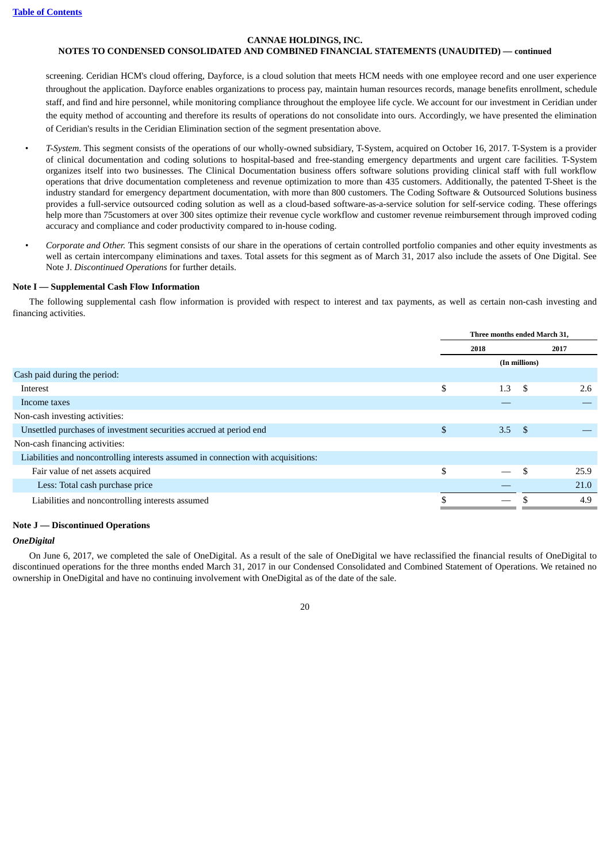## **NOTES TO CONDENSED CONSOLIDATED AND COMBINED FINANCIAL STATEMENTS (UNAUDITED) — continued**

screening. Ceridian HCM's cloud offering, Dayforce, is a cloud solution that meets HCM needs with one employee record and one user experience throughout the application. Dayforce enables organizations to process pay, maintain human resources records, manage benefits enrollment, schedule staff, and find and hire personnel, while monitoring compliance throughout the employee life cycle. We account for our investment in Ceridian under the equity method of accounting and therefore its results of operations do not consolidate into ours. Accordingly, we have presented the elimination of Ceridian's results in the Ceridian Elimination section of the segment presentation above.

- *T-System*. This segment consists of the operations of our wholly-owned subsidiary, T-System, acquired on October 16, 2017. T-System is a provider of clinical documentation and coding solutions to hospital-based and free-standing emergency departments and urgent care facilities. T-System organizes itself into two businesses. The Clinical Documentation business offers software solutions providing clinical staff with full workflow operations that drive documentation completeness and revenue optimization to more than 435 customers. Additionally, the patented T-Sheet is the industry standard for emergency department documentation, with more than 800 customers. The Coding Software & Outsourced Solutions business provides a full-service outsourced coding solution as well as a cloud-based software-as-a-service solution for self-service coding. These offerings help more than 75customers at over 300 sites optimize their revenue cycle workflow and customer revenue reimbursement through improved coding accuracy and compliance and coder productivity compared to in-house coding.
- *• Corporate and Other.* This segment consists of our share in the operations of certain controlled portfolio companies and other equity investments as well as certain intercompany eliminations and taxes. Total assets for this segment as of March 31, 2017 also include the assets of One Digital. See Note J. *Discontinued Operations* for further details.

#### **Note I — Supplemental Cash Flow Information**

The following supplemental cash flow information is provided with respect to interest and tax payments, as well as certain non-cash investing and financing activities.

|                                                                                   |   | Three months ended March 31, |               |      |
|-----------------------------------------------------------------------------------|---|------------------------------|---------------|------|
|                                                                                   |   | 2018                         |               | 2017 |
|                                                                                   |   |                              | (In millions) |      |
| Cash paid during the period:                                                      |   |                              |               |      |
| Interest                                                                          | S | 1.3                          | -S            | 2.6  |
| Income taxes                                                                      |   |                              |               |      |
| Non-cash investing activities:                                                    |   |                              |               |      |
| Unsettled purchases of investment securities accrued at period end                |   | 3.5                          | -\$           |      |
| Non-cash financing activities:                                                    |   |                              |               |      |
| Liabilities and noncontrolling interests assumed in connection with acquisitions: |   |                              |               |      |
| Fair value of net assets acquired                                                 | ¢ |                              |               | 25.9 |
| Less: Total cash purchase price                                                   |   |                              |               | 21.0 |
| Liabilities and noncontrolling interests assumed                                  |   |                              |               | 4.9  |

#### **Note J — Discontinued Operations**

#### *OneDigital*

On June 6, 2017, we completed the sale of OneDigital. As a result of the sale of OneDigital we have reclassified the financial results of OneDigital to discontinued operations for the three months ended March 31, 2017 in our Condensed Consolidated and Combined Statement of Operations. We retained no ownership in OneDigital and have no continuing involvement with OneDigital as of the date of the sale.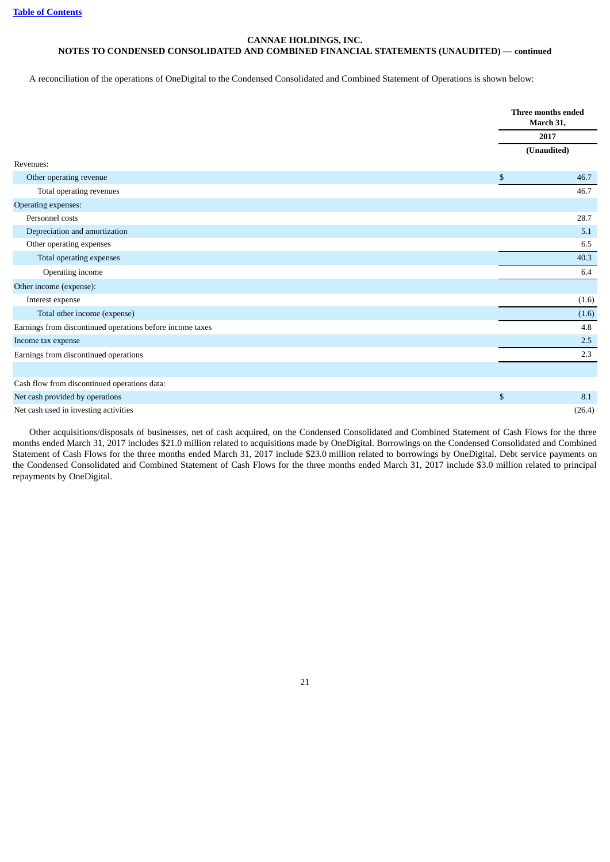# **NOTES TO CONDENSED CONSOLIDATED AND COMBINED FINANCIAL STATEMENTS (UNAUDITED) — continued**

A reconciliation of the operations of OneDigital to the Condensed Consolidated and Combined Statement of Operations is shown below:

|                                                           | <b>Three months ended</b><br>March 31,<br>2017 |             |  |  |  |  |
|-----------------------------------------------------------|------------------------------------------------|-------------|--|--|--|--|
|                                                           |                                                | (Unaudited) |  |  |  |  |
| Revenues:                                                 |                                                |             |  |  |  |  |
| Other operating revenue                                   | \$                                             | 46.7        |  |  |  |  |
| Total operating revenues                                  |                                                | 46.7        |  |  |  |  |
| Operating expenses:                                       |                                                |             |  |  |  |  |
| Personnel costs                                           |                                                | 28.7        |  |  |  |  |
| Depreciation and amortization                             |                                                | 5.1         |  |  |  |  |
| Other operating expenses                                  |                                                | 6.5         |  |  |  |  |
| Total operating expenses                                  |                                                | 40.3        |  |  |  |  |
| Operating income                                          |                                                | 6.4         |  |  |  |  |
| Other income (expense):                                   |                                                |             |  |  |  |  |
| Interest expense                                          |                                                | (1.6)       |  |  |  |  |
| Total other income (expense)                              |                                                | (1.6)       |  |  |  |  |
| Earnings from discontinued operations before income taxes |                                                | 4.8         |  |  |  |  |
| Income tax expense                                        |                                                | 2.5         |  |  |  |  |
| Earnings from discontinued operations                     |                                                | 2.3         |  |  |  |  |
|                                                           |                                                |             |  |  |  |  |
| Cash flow from discontinued operations data:              |                                                |             |  |  |  |  |
| Net cash provided by operations                           | \$                                             | 8.1         |  |  |  |  |
| Net cash used in investing activities                     |                                                | (26.4)      |  |  |  |  |

Other acquisitions/disposals of businesses, net of cash acquired, on the Condensed Consolidated and Combined Statement of Cash Flows for the three months ended March 31, 2017 includes \$21.0 million related to acquisitions made by OneDigital. Borrowings on the Condensed Consolidated and Combined Statement of Cash Flows for the three months ended March 31, 2017 include \$23.0 million related to borrowings by OneDigital. Debt service payments on the Condensed Consolidated and Combined Statement of Cash Flows for the three months ended March 31, 2017 include \$3.0 million related to principal repayments by OneDigital.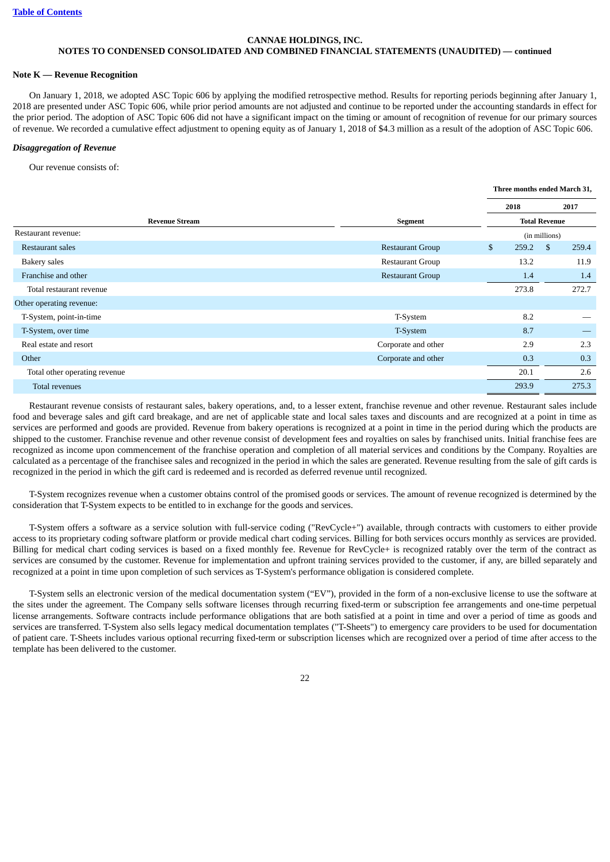# **CANNAE HOLDINGS, INC. NOTES TO CONDENSED CONSOLIDATED AND COMBINED FINANCIAL STATEMENTS (UNAUDITED) — continued**

# **Note K — Revenue Recognition**

On January 1, 2018, we adopted ASC Topic 606 by applying the modified retrospective method. Results for reporting periods beginning after January 1, 2018 are presented under ASC Topic 606, while prior period amounts are not adjusted and continue to be reported under the accounting standards in effect for the prior period. The adoption of ASC Topic 606 did not have a significant impact on the timing or amount of recognition of revenue for our primary sources of revenue. We recorded a cumulative effect adjustment to opening equity as of January 1, 2018 of \$4.3 million as a result of the adoption of ASC Topic 606.

# *Disaggregation of Revenue*

Our revenue consists of:

|                               |                         | Three months ended March 31, |                      |       |
|-------------------------------|-------------------------|------------------------------|----------------------|-------|
|                               |                         | 2018                         |                      | 2017  |
| <b>Revenue Stream</b>         | Segment                 |                              | <b>Total Revenue</b> |       |
| Restaurant revenue:           |                         |                              | (in millions)        |       |
| Restaurant sales              | <b>Restaurant Group</b> | \$<br>259.2                  | \$                   | 259.4 |
| Bakery sales                  | <b>Restaurant Group</b> | 13.2                         |                      | 11.9  |
| Franchise and other           | <b>Restaurant Group</b> | 1.4                          |                      | 1.4   |
| Total restaurant revenue      |                         | 273.8                        |                      | 272.7 |
| Other operating revenue:      |                         |                              |                      |       |
| T-System, point-in-time       | T-System                | 8.2                          |                      |       |
| T-System, over time           | T-System                | 8.7                          |                      |       |
| Real estate and resort        | Corporate and other     | 2.9                          |                      | 2.3   |
| Other                         | Corporate and other     | 0.3                          |                      | 0.3   |
| Total other operating revenue |                         | 20.1                         |                      | 2.6   |
| Total revenues                |                         | 293.9                        |                      | 275.3 |

Restaurant revenue consists of restaurant sales, bakery operations, and, to a lesser extent, franchise revenue and other revenue. Restaurant sales include food and beverage sales and gift card breakage, and are net of applicable state and local sales taxes and discounts and are recognized at a point in time as services are performed and goods are provided. Revenue from bakery operations is recognized at a point in time in the period during which the products are shipped to the customer. Franchise revenue and other revenue consist of development fees and royalties on sales by franchised units. Initial franchise fees are recognized as income upon commencement of the franchise operation and completion of all material services and conditions by the Company. Royalties are calculated as a percentage of the franchisee sales and recognized in the period in which the sales are generated. Revenue resulting from the sale of gift cards is recognized in the period in which the gift card is redeemed and is recorded as deferred revenue until recognized.

T-System recognizes revenue when a customer obtains control of the promised goods or services. The amount of revenue recognized is determined by the consideration that T-System expects to be entitled to in exchange for the goods and services.

T-System offers a software as a service solution with full-service coding ("RevCycle+") available, through contracts with customers to either provide access to its proprietary coding software platform or provide medical chart coding services. Billing for both services occurs monthly as services are provided. Billing for medical chart coding services is based on a fixed monthly fee. Revenue for RevCycle+ is recognized ratably over the term of the contract as services are consumed by the customer. Revenue for implementation and upfront training services provided to the customer, if any, are billed separately and recognized at a point in time upon completion of such services as T-System's performance obligation is considered complete.

T-System sells an electronic version of the medical documentation system ("EV"), provided in the form of a non-exclusive license to use the software at the sites under the agreement. The Company sells software licenses through recurring fixed-term or subscription fee arrangements and one-time perpetual license arrangements. Software contracts include performance obligations that are both satisfied at a point in time and over a period of time as goods and services are transferred. T-System also sells legacy medical documentation templates ("T-Sheets") to emergency care providers to be used for documentation of patient care. T-Sheets includes various optional recurring fixed-term or subscription licenses which are recognized over a period of time after access to the template has been delivered to the customer.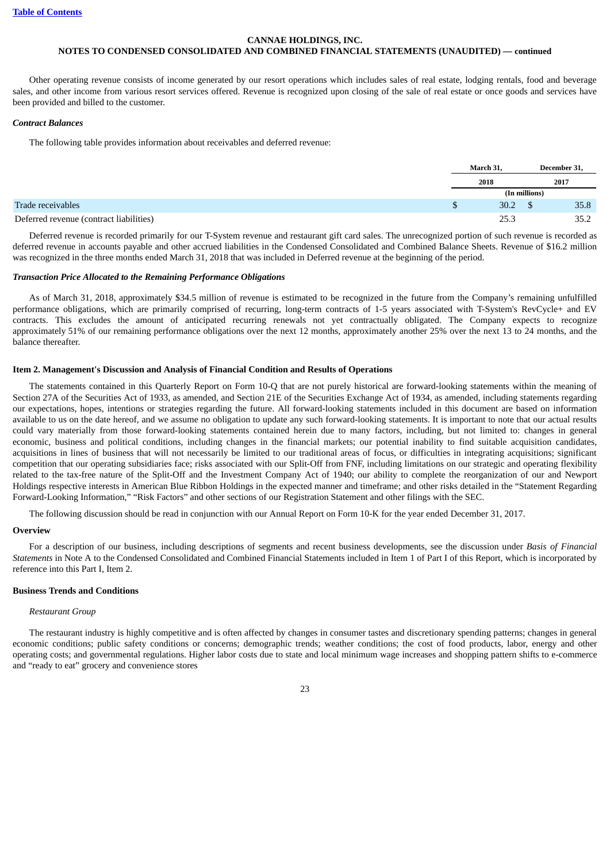# **NOTES TO CONDENSED CONSOLIDATED AND COMBINED FINANCIAL STATEMENTS (UNAUDITED) — continued**

Other operating revenue consists of income generated by our resort operations which includes sales of real estate, lodging rentals, food and beverage sales, and other income from various resort services offered. Revenue is recognized upon closing of the sale of real estate or once goods and services have been provided and billed to the customer.

#### *Contract Balances*

The following table provides information about receivables and deferred revenue:

|                                         |   | March 31,      |               | December 31, |
|-----------------------------------------|---|----------------|---------------|--------------|
|                                         |   | 2018           |               | 2017         |
|                                         |   |                | (In millions) |              |
| Trade receivables                       | ω | 30.2           |               | 35.8         |
| Deferred revenue (contract liabilities) |   | ว5 ว<br>ے . اس |               | 35.2         |

Deferred revenue is recorded primarily for our T-System revenue and restaurant gift card sales. The unrecognized portion of such revenue is recorded as deferred revenue in accounts payable and other accrued liabilities in the Condensed Consolidated and Combined Balance Sheets. Revenue of \$16.2 million was recognized in the three months ended March 31, 2018 that was included in Deferred revenue at the beginning of the period.

#### *Transaction Price Allocated to the Remaining Performance Obligations*

As of March 31, 2018, approximately \$34.5 million of revenue is estimated to be recognized in the future from the Company's remaining unfulfilled performance obligations, which are primarily comprised of recurring, long-term contracts of 1-5 years associated with T-System's RevCycle+ and EV contracts. This excludes the amount of anticipated recurring renewals not yet contractually obligated. The Company expects to recognize approximately 51% of our remaining performance obligations over the next 12 months, approximately another 25% over the next 13 to 24 months, and the balance thereafter.

#### <span id="page-24-0"></span>**Item 2. Management's Discussion and Analysis of Financial Condition and Results of Operations**

The statements contained in this Quarterly Report on Form 10-Q that are not purely historical are forward-looking statements within the meaning of Section 27A of the Securities Act of 1933, as amended, and Section 21E of the Securities Exchange Act of 1934, as amended, including statements regarding our expectations, hopes, intentions or strategies regarding the future. All forward-looking statements included in this document are based on information available to us on the date hereof, and we assume no obligation to update any such forward-looking statements. It is important to note that our actual results could vary materially from those forward-looking statements contained herein due to many factors, including, but not limited to: changes in general economic, business and political conditions, including changes in the financial markets; our potential inability to find suitable acquisition candidates, acquisitions in lines of business that will not necessarily be limited to our traditional areas of focus, or difficulties in integrating acquisitions; significant competition that our operating subsidiaries face; risks associated with our Split-Off from FNF, including limitations on our strategic and operating flexibility related to the tax-free nature of the Split-Off and the Investment Company Act of 1940; our ability to complete the reorganization of our and Newport Holdings respective interests in American Blue Ribbon Holdings in the expected manner and timeframe; and other risks detailed in the "Statement Regarding Forward-Looking Information," "Risk Factors" and other sections of our Registration Statement and other filings with the SEC.

The following discussion should be read in conjunction with our Annual Report on Form 10-K for the year ended December 31, 2017.

#### **Overview**

For a description of our business, including descriptions of segments and recent business developments, see the discussion under *Basis of Financial Statements* in Note A to the Condensed Consolidated and Combined Financial Statements included in Item 1 of Part I of this Report, which is incorporated by reference into this Part I, Item 2.

#### **Business Trends and Conditions**

#### *Restaurant Group*

The restaurant industry is highly competitive and is often affected by changes in consumer tastes and discretionary spending patterns; changes in general economic conditions; public safety conditions or concerns; demographic trends; weather conditions; the cost of food products, labor, energy and other operating costs; and governmental regulations. Higher labor costs due to state and local minimum wage increases and shopping pattern shifts to e-commerce and "ready to eat" grocery and convenience stores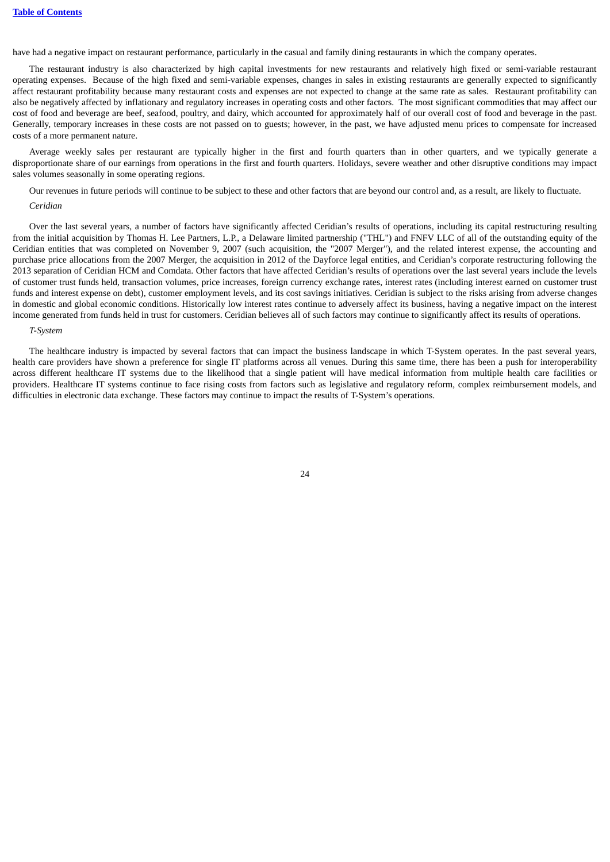have had a negative impact on restaurant performance, particularly in the casual and family dining restaurants in which the company operates.

The restaurant industry is also characterized by high capital investments for new restaurants and relatively high fixed or semi-variable restaurant operating expenses. Because of the high fixed and semi-variable expenses, changes in sales in existing restaurants are generally expected to significantly affect restaurant profitability because many restaurant costs and expenses are not expected to change at the same rate as sales. Restaurant profitability can also be negatively affected by inflationary and regulatory increases in operating costs and other factors. The most significant commodities that may affect our cost of food and beverage are beef, seafood, poultry, and dairy, which accounted for approximately half of our overall cost of food and beverage in the past. Generally, temporary increases in these costs are not passed on to guests; however, in the past, we have adjusted menu prices to compensate for increased costs of a more permanent nature.

Average weekly sales per restaurant are typically higher in the first and fourth quarters than in other quarters, and we typically generate a disproportionate share of our earnings from operations in the first and fourth quarters. Holidays, severe weather and other disruptive conditions may impact sales volumes seasonally in some operating regions.

Our revenues in future periods will continue to be subject to these and other factors that are beyond our control and, as a result, are likely to fluctuate. *Ceridian*

Over the last several years, a number of factors have significantly affected Ceridian's results of operations, including its capital restructuring resulting from the initial acquisition by Thomas H. Lee Partners, L.P., a Delaware limited partnership ("THL") and FNFV LLC of all of the outstanding equity of the Ceridian entities that was completed on November 9, 2007 (such acquisition, the "2007 Merger"), and the related interest expense, the accounting and purchase price allocations from the 2007 Merger, the acquisition in 2012 of the Dayforce legal entities, and Ceridian's corporate restructuring following the 2013 separation of Ceridian HCM and Comdata. Other factors that have affected Ceridian's results of operations over the last several years include the levels of customer trust funds held, transaction volumes, price increases, foreign currency exchange rates, interest rates (including interest earned on customer trust funds and interest expense on debt), customer employment levels, and its cost savings initiatives. Ceridian is subject to the risks arising from adverse changes in domestic and global economic conditions. Historically low interest rates continue to adversely affect its business, having a negative impact on the interest income generated from funds held in trust for customers. Ceridian believes all of such factors may continue to significantly affect its results of operations.

#### *T-System*

The healthcare industry is impacted by several factors that can impact the business landscape in which T-System operates. In the past several years, health care providers have shown a preference for single IT platforms across all venues. During this same time, there has been a push for interoperability across different healthcare IT systems due to the likelihood that a single patient will have medical information from multiple health care facilities or providers. Healthcare IT systems continue to face rising costs from factors such as legislative and regulatory reform, complex reimbursement models, and difficulties in electronic data exchange. These factors may continue to impact the results of T-System's operations.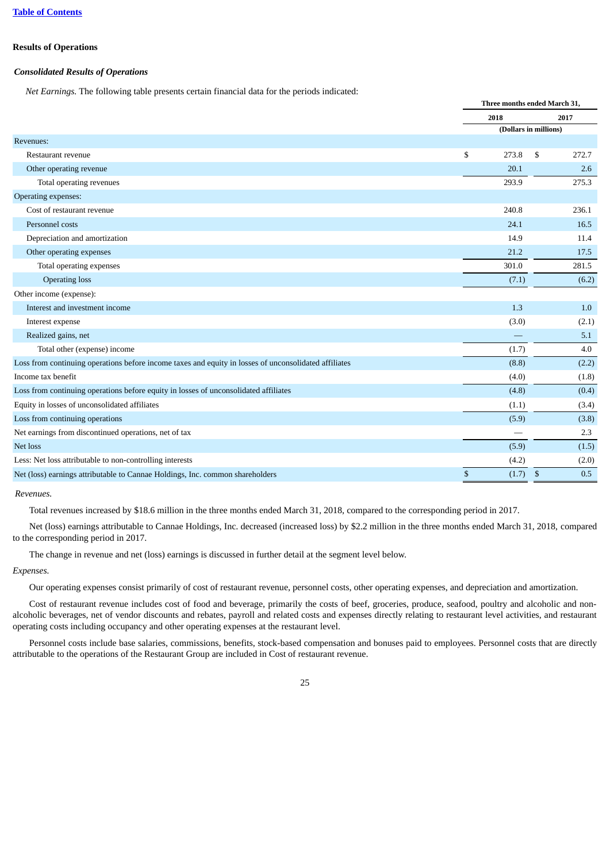## **Results of Operations**

#### *Consolidated Results of Operations*

*Net Earnings.* The following table presents certain financial data for the periods indicated:

|                                                                                                       | Three months ended March 31, |                |       |
|-------------------------------------------------------------------------------------------------------|------------------------------|----------------|-------|
|                                                                                                       | 2018                         |                | 2017  |
|                                                                                                       | (Dollars in millions)        |                |       |
| Revenues:                                                                                             |                              |                |       |
| Restaurant revenue                                                                                    | \$<br>273.8                  | \$             | 272.7 |
| Other operating revenue                                                                               | 20.1                         |                | 2.6   |
| Total operating revenues                                                                              | 293.9                        |                | 275.3 |
| Operating expenses:                                                                                   |                              |                |       |
| Cost of restaurant revenue                                                                            | 240.8                        |                | 236.1 |
| Personnel costs                                                                                       | 24.1                         |                | 16.5  |
| Depreciation and amortization                                                                         | 14.9                         |                | 11.4  |
| Other operating expenses                                                                              | 21.2                         |                | 17.5  |
| Total operating expenses                                                                              | 301.0                        |                | 281.5 |
| <b>Operating loss</b>                                                                                 | (7.1)                        |                | (6.2) |
| Other income (expense):                                                                               |                              |                |       |
| Interest and investment income                                                                        | 1.3                          |                | 1.0   |
| Interest expense                                                                                      | (3.0)                        |                | (2.1) |
| Realized gains, net                                                                                   |                              |                | 5.1   |
| Total other (expense) income                                                                          | (1.7)                        |                | 4.0   |
| Loss from continuing operations before income taxes and equity in losses of unconsolidated affiliates | (8.8)                        |                | (2.2) |
| Income tax benefit                                                                                    | (4.0)                        |                | (1.8) |
| Loss from continuing operations before equity in losses of unconsolidated affiliates                  | (4.8)                        |                | (0.4) |
| Equity in losses of unconsolidated affiliates                                                         | (1.1)                        |                | (3.4) |
| Loss from continuing operations                                                                       | (5.9)                        |                | (3.8) |
| Net earnings from discontinued operations, net of tax                                                 |                              |                | 2.3   |
| Net loss                                                                                              | (5.9)                        |                | (1.5) |
| Less: Net loss attributable to non-controlling interests                                              | (4.2)                        |                | (2.0) |
| Net (loss) earnings attributable to Cannae Holdings, Inc. common shareholders                         | \$<br>(1.7)                  | $\mathfrak{F}$ | 0.5   |

*Revenues.*

Total revenues increased by \$18.6 million in the three months ended March 31, 2018, compared to the corresponding period in 2017.

Net (loss) earnings attributable to Cannae Holdings, Inc. decreased (increased loss) by \$2.2 million in the three months ended March 31, 2018, compared to the corresponding period in 2017.

The change in revenue and net (loss) earnings is discussed in further detail at the segment level below.

# *Expenses.*

Our operating expenses consist primarily of cost of restaurant revenue, personnel costs, other operating expenses, and depreciation and amortization.

Cost of restaurant revenue includes cost of food and beverage, primarily the costs of beef, groceries, produce, seafood, poultry and alcoholic and nonalcoholic beverages, net of vendor discounts and rebates, payroll and related costs and expenses directly relating to restaurant level activities, and restaurant operating costs including occupancy and other operating expenses at the restaurant level.

Personnel costs include base salaries, commissions, benefits, stock-based compensation and bonuses paid to employees. Personnel costs that are directly attributable to the operations of the Restaurant Group are included in Cost of restaurant revenue.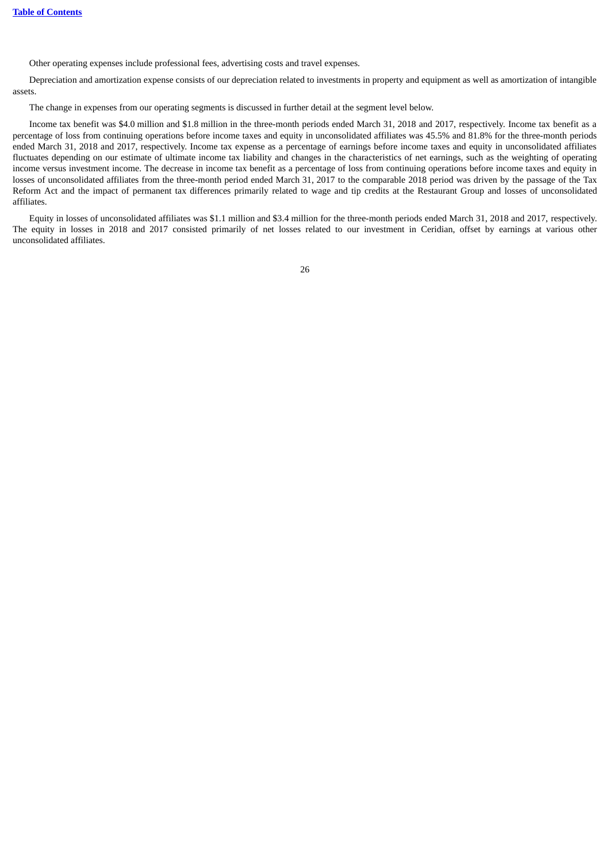Other operating expenses include professional fees, advertising costs and travel expenses.

Depreciation and amortization expense consists of our depreciation related to investments in property and equipment as well as amortization of intangible assets.

The change in expenses from our operating segments is discussed in further detail at the segment level below.

Income tax benefit was \$4.0 million and \$1.8 million in the three-month periods ended March 31, 2018 and 2017, respectively. Income tax benefit as a percentage of loss from continuing operations before income taxes and equity in unconsolidated affiliates was 45.5% and 81.8% for the three-month periods ended March 31, 2018 and 2017, respectively. Income tax expense as a percentage of earnings before income taxes and equity in unconsolidated affiliates fluctuates depending on our estimate of ultimate income tax liability and changes in the characteristics of net earnings, such as the weighting of operating income versus investment income. The decrease in income tax benefit as a percentage of loss from continuing operations before income taxes and equity in losses of unconsolidated affiliates from the three-month period ended March 31, 2017 to the comparable 2018 period was driven by the passage of the Tax Reform Act and the impact of permanent tax differences primarily related to wage and tip credits at the Restaurant Group and losses of unconsolidated affiliates.

Equity in losses of unconsolidated affiliates was \$1.1 million and \$3.4 million for the three-month periods ended March 31, 2018 and 2017, respectively. The equity in losses in 2018 and 2017 consisted primarily of net losses related to our investment in Ceridian, offset by earnings at various other unconsolidated affiliates.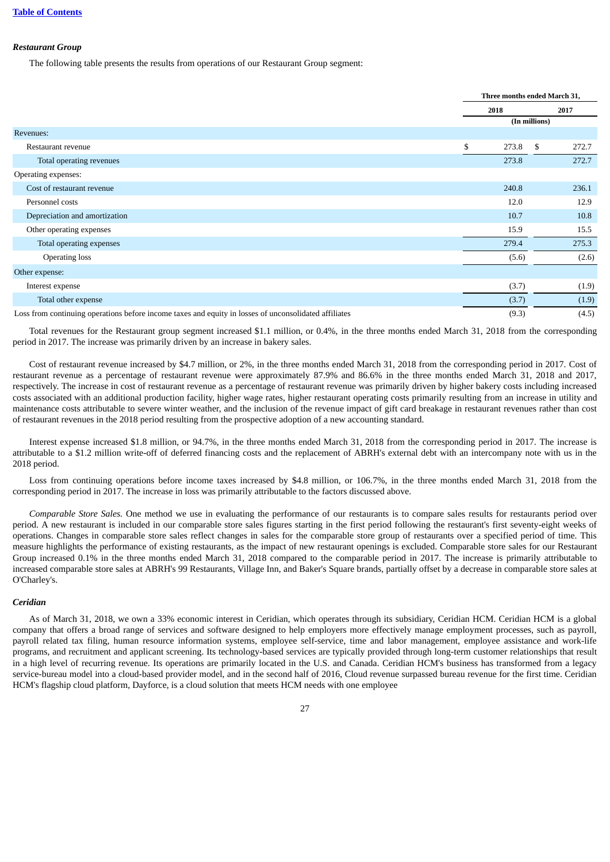#### *Restaurant Group*

The following table presents the results from operations of our Restaurant Group segment:

|                                                                                                       |    | Three months ended March 31, |               |       |
|-------------------------------------------------------------------------------------------------------|----|------------------------------|---------------|-------|
|                                                                                                       |    | 2018                         |               | 2017  |
|                                                                                                       |    |                              | (In millions) |       |
| Revenues:                                                                                             |    |                              |               |       |
| Restaurant revenue                                                                                    | \$ | 273.8                        | \$            | 272.7 |
| Total operating revenues                                                                              |    | 273.8                        |               | 272.7 |
| Operating expenses:                                                                                   |    |                              |               |       |
| Cost of restaurant revenue                                                                            |    | 240.8                        |               | 236.1 |
| Personnel costs                                                                                       |    | 12.0                         |               | 12.9  |
| Depreciation and amortization                                                                         |    | 10.7                         |               | 10.8  |
| Other operating expenses                                                                              |    | 15.9                         |               | 15.5  |
| Total operating expenses                                                                              |    | 279.4                        |               | 275.3 |
| Operating loss                                                                                        |    | (5.6)                        |               | (2.6) |
| Other expense:                                                                                        |    |                              |               |       |
| Interest expense                                                                                      |    | (3.7)                        |               | (1.9) |
| Total other expense                                                                                   |    | (3.7)                        |               | (1.9) |
| Loss from continuing operations before income taxes and equity in losses of unconsolidated affiliates |    | (9.3)                        |               | (4.5) |

Total revenues for the Restaurant group segment increased \$1.1 million, or 0.4%, in the three months ended March 31, 2018 from the corresponding period in 2017. The increase was primarily driven by an increase in bakery sales.

Cost of restaurant revenue increased by \$4.7 million, or 2%, in the three months ended March 31, 2018 from the corresponding period in 2017. Cost of restaurant revenue as a percentage of restaurant revenue were approximately 87.9% and 86.6% in the three months ended March 31, 2018 and 2017, respectively. The increase in cost of restaurant revenue as a percentage of restaurant revenue was primarily driven by higher bakery costs including increased costs associated with an additional production facility, higher wage rates, higher restaurant operating costs primarily resulting from an increase in utility and maintenance costs attributable to severe winter weather, and the inclusion of the revenue impact of gift card breakage in restaurant revenues rather than cost of restaurant revenues in the 2018 period resulting from the prospective adoption of a new accounting standard.

Interest expense increased \$1.8 million, or 94.7%, in the three months ended March 31, 2018 from the corresponding period in 2017. The increase is attributable to a \$1.2 million write-off of deferred financing costs and the replacement of ABRH's external debt with an intercompany note with us in the 2018 period.

Loss from continuing operations before income taxes increased by \$4.8 million, or 106.7%, in the three months ended March 31, 2018 from the corresponding period in 2017. The increase in loss was primarily attributable to the factors discussed above.

*Comparable Store Sales.* One method we use in evaluating the performance of our restaurants is to compare sales results for restaurants period over period. A new restaurant is included in our comparable store sales figures starting in the first period following the restaurant's first seventy-eight weeks of operations. Changes in comparable store sales reflect changes in sales for the comparable store group of restaurants over a specified period of time. This measure highlights the performance of existing restaurants, as the impact of new restaurant openings is excluded. Comparable store sales for our Restaurant Group increased 0.1% in the three months ended March 31, 2018 compared to the comparable period in 2017. The increase is primarily attributable to increased comparable store sales at ABRH's 99 Restaurants, Village Inn, and Baker's Square brands, partially offset by a decrease in comparable store sales at O'Charley's.

## *Ceridian*

As of March 31, 2018, we own a 33% economic interest in Ceridian, which operates through its subsidiary, Ceridian HCM. Ceridian HCM is a global company that offers a broad range of services and software designed to help employers more effectively manage employment processes, such as payroll, payroll related tax filing, human resource information systems, employee self-service, time and labor management, employee assistance and work-life programs, and recruitment and applicant screening. Its technology-based services are typically provided through long-term customer relationships that result in a high level of recurring revenue. Its operations are primarily located in the U.S. and Canada. Ceridian HCM's business has transformed from a legacy service-bureau model into a cloud-based provider model, and in the second half of 2016, Cloud revenue surpassed bureau revenue for the first time. Ceridian HCM's flagship cloud platform, Dayforce, is a cloud solution that meets HCM needs with one employee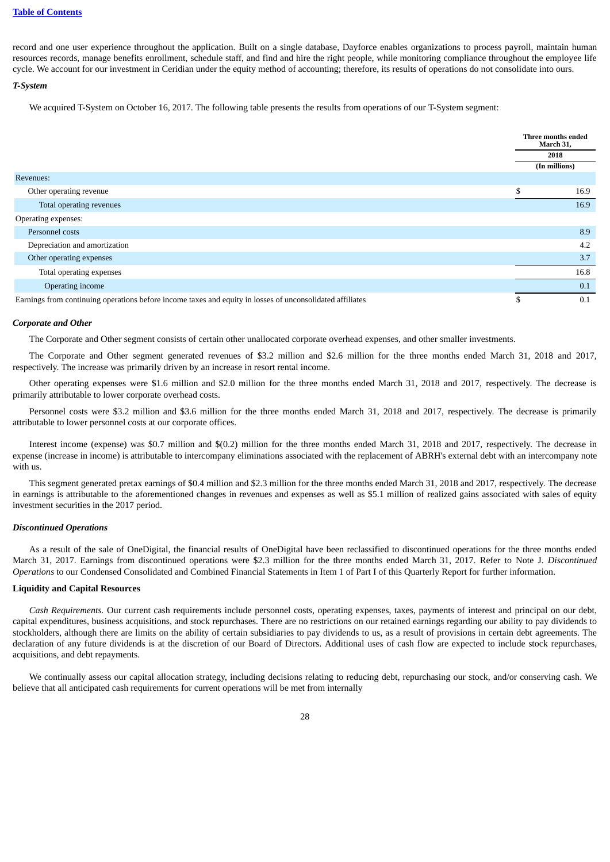#### **Table of [Contents](#page-1-0)**

record and one user experience throughout the application. Built on a single database, Dayforce enables organizations to process payroll, maintain human resources records, manage benefits enrollment, schedule staff, and find and hire the right people, while monitoring compliance throughout the employee life cycle. We account for our investment in Ceridian under the equity method of accounting; therefore, its results of operations do not consolidate into ours.

#### *T-System*

We acquired T-System on October 16, 2017. The following table presents the results from operations of our T-System segment:

|                                                                                                           |   | Three months ended<br>March 31, |
|-----------------------------------------------------------------------------------------------------------|---|---------------------------------|
|                                                                                                           |   | 2018                            |
|                                                                                                           |   | (In millions)                   |
| Revenues:                                                                                                 |   |                                 |
| Other operating revenue                                                                                   | ъ | 16.9                            |
| Total operating revenues                                                                                  |   | 16.9                            |
| Operating expenses:                                                                                       |   |                                 |
| Personnel costs                                                                                           |   | 8.9                             |
| Depreciation and amortization                                                                             |   | 4.2                             |
| Other operating expenses                                                                                  |   | 3.7                             |
| Total operating expenses                                                                                  |   | 16.8                            |
| Operating income                                                                                          |   | 0.1                             |
| Earnings from continuing operations before income taxes and equity in losses of unconsolidated affiliates |   | 0.1                             |

#### *Corporate and Other*

The Corporate and Other segment consists of certain other unallocated corporate overhead expenses, and other smaller investments.

The Corporate and Other segment generated revenues of \$3.2 million and \$2.6 million for the three months ended March 31, 2018 and 2017, respectively. The increase was primarily driven by an increase in resort rental income.

Other operating expenses were \$1.6 million and \$2.0 million for the three months ended March 31, 2018 and 2017, respectively. The decrease is primarily attributable to lower corporate overhead costs.

Personnel costs were \$3.2 million and \$3.6 million for the three months ended March 31, 2018 and 2017, respectively. The decrease is primarily attributable to lower personnel costs at our corporate offices.

Interest income (expense) was \$0.7 million and \$(0.2) million for the three months ended March 31, 2018 and 2017, respectively. The decrease in expense (increase in income) is attributable to intercompany eliminations associated with the replacement of ABRH's external debt with an intercompany note with us.

This segment generated pretax earnings of \$0.4 million and \$2.3 million for the three months ended March 31, 2018 and 2017, respectively. The decrease in earnings is attributable to the aforementioned changes in revenues and expenses as well as \$5.1 million of realized gains associated with sales of equity investment securities in the 2017 period.

#### *Discontinued Operations*

As a result of the sale of OneDigital, the financial results of OneDigital have been reclassified to discontinued operations for the three months ended March 31, 2017. Earnings from discontinued operations were \$2.3 million for the three months ended March 31, 2017. Refer to Note J. *Discontinued Operations* to our Condensed Consolidated and Combined Financial Statements in Item 1 of Part I of this Quarterly Report for further information.

#### **Liquidity and Capital Resources**

*Cash Requirements.* Our current cash requirements include personnel costs, operating expenses, taxes, payments of interest and principal on our debt, capital expenditures, business acquisitions, and stock repurchases. There are no restrictions on our retained earnings regarding our ability to pay dividends to stockholders, although there are limits on the ability of certain subsidiaries to pay dividends to us, as a result of provisions in certain debt agreements. The declaration of any future dividends is at the discretion of our Board of Directors. Additional uses of cash flow are expected to include stock repurchases, acquisitions, and debt repayments.

We continually assess our capital allocation strategy, including decisions relating to reducing debt, repurchasing our stock, and/or conserving cash. We believe that all anticipated cash requirements for current operations will be met from internally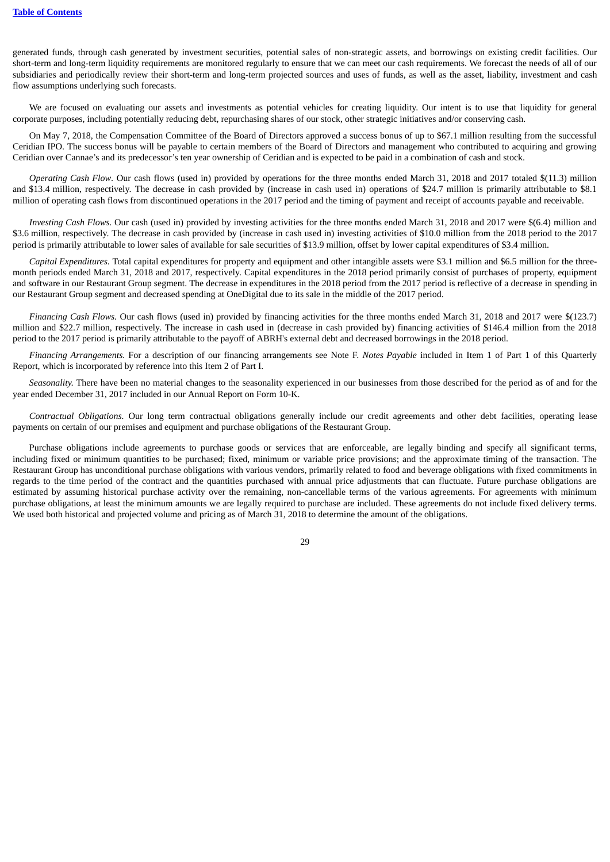generated funds, through cash generated by investment securities, potential sales of non-strategic assets, and borrowings on existing credit facilities. Our short-term and long-term liquidity requirements are monitored regularly to ensure that we can meet our cash requirements. We forecast the needs of all of our subsidiaries and periodically review their short-term and long-term projected sources and uses of funds, as well as the asset, liability, investment and cash flow assumptions underlying such forecasts.

We are focused on evaluating our assets and investments as potential vehicles for creating liquidity. Our intent is to use that liquidity for general corporate purposes, including potentially reducing debt, repurchasing shares of our stock, other strategic initiatives and/or conserving cash.

On May 7, 2018, the Compensation Committee of the Board of Directors approved a success bonus of up to \$67.1 million resulting from the successful Ceridian IPO. The success bonus will be payable to certain members of the Board of Directors and management who contributed to acquiring and growing Ceridian over Cannae's and its predecessor's ten year ownership of Ceridian and is expected to be paid in a combination of cash and stock.

*Operating Cash Flow*. Our cash flows (used in) provided by operations for the three months ended March 31, 2018 and 2017 totaled \$(11.3) million and \$13.4 million, respectively. The decrease in cash provided by (increase in cash used in) operations of \$24.7 million is primarily attributable to \$8.1 million of operating cash flows from discontinued operations in the 2017 period and the timing of payment and receipt of accounts payable and receivable.

*Investing Cash Flows.* Our cash (used in) provided by investing activities for the three months ended March 31, 2018 and 2017 were \$(6.4) million and \$3.6 million, respectively. The decrease in cash provided by (increase in cash used in) investing activities of \$10.0 million from the 2018 period to the 2017 period is primarily attributable to lower sales of available for sale securities of \$13.9 million, offset by lower capital expenditures of \$3.4 million.

*Capital Expenditures.* Total capital expenditures for property and equipment and other intangible assets were \$3.1 million and \$6.5 million for the threemonth periods ended March 31, 2018 and 2017, respectively. Capital expenditures in the 2018 period primarily consist of purchases of property, equipment and software in our Restaurant Group segment. The decrease in expenditures in the 2018 period from the 2017 period is reflective of a decrease in spending in our Restaurant Group segment and decreased spending at OneDigital due to its sale in the middle of the 2017 period.

*Financing Cash Flows.* Our cash flows (used in) provided by financing activities for the three months ended March 31, 2018 and 2017 were \$(123.7) million and \$22.7 million, respectively. The increase in cash used in (decrease in cash provided by) financing activities of \$146.4 million from the 2018 period to the 2017 period is primarily attributable to the payoff of ABRH's external debt and decreased borrowings in the 2018 period.

*Financing Arrangements.* For a description of our financing arrangements see Note F. *Notes Payable* included in Item 1 of Part 1 of this Quarterly Report, which is incorporated by reference into this Item 2 of Part I.

*Seasonality.* There have been no material changes to the seasonality experienced in our businesses from those described for the period as of and for the year ended December 31, 2017 included in our Annual Report on Form 10-K.

*Contractual Obligations.* Our long term contractual obligations generally include our credit agreements and other debt facilities, operating lease payments on certain of our premises and equipment and purchase obligations of the Restaurant Group.

Purchase obligations include agreements to purchase goods or services that are enforceable, are legally binding and specify all significant terms, including fixed or minimum quantities to be purchased; fixed, minimum or variable price provisions; and the approximate timing of the transaction. The Restaurant Group has unconditional purchase obligations with various vendors, primarily related to food and beverage obligations with fixed commitments in regards to the time period of the contract and the quantities purchased with annual price adjustments that can fluctuate. Future purchase obligations are estimated by assuming historical purchase activity over the remaining, non-cancellable terms of the various agreements. For agreements with minimum purchase obligations, at least the minimum amounts we are legally required to purchase are included. These agreements do not include fixed delivery terms. We used both historical and projected volume and pricing as of March 31, 2018 to determine the amount of the obligations.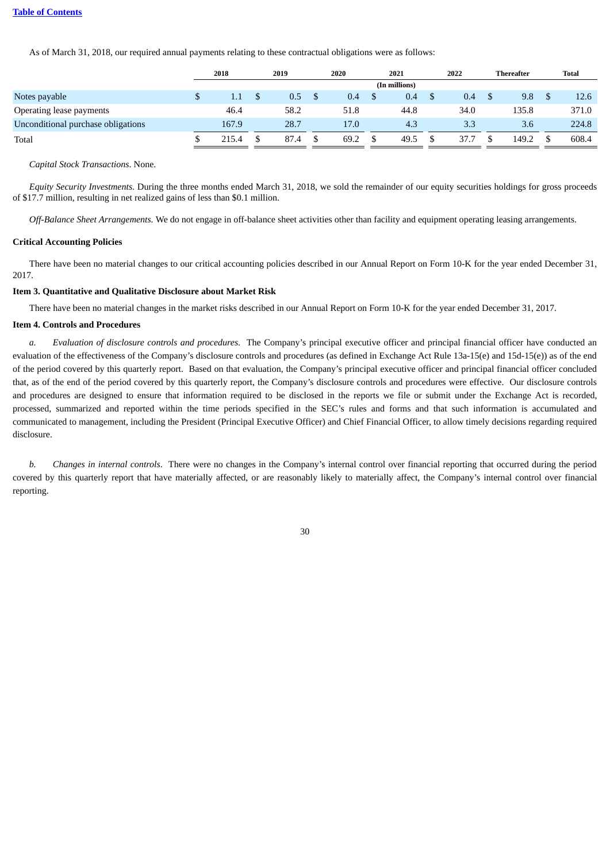As of March 31, 2018, our required annual payments relating to these contractual obligations were as follows:

|                                    | 2018  |  | 2019 |  | 2020 |    | 2021          |  | 2022 |  | <b>Thereafter</b> |  | Total |
|------------------------------------|-------|--|------|--|------|----|---------------|--|------|--|-------------------|--|-------|
|                                    |       |  |      |  |      |    | (In millions) |  |      |  |                   |  |       |
| Notes payable                      |       |  | 0.5  |  | 0.4  | \$ | 0.4           |  | 0.4  |  | 9.8               |  | 12.6  |
| Operating lease payments           | 46.4  |  | 58.2 |  | 51.8 |    | 44.8          |  | 34.0 |  | 135.8             |  | 371.0 |
| Unconditional purchase obligations | 167.9 |  | 28.7 |  | 17.0 |    | 4.3           |  | 3.3  |  | 3.6               |  | 224.8 |
| Total                              | 215.4 |  | 87.4 |  | 69.2 | \$ | 49.5          |  | 37.7 |  | 149.2             |  | 608.4 |

*Capital Stock Transactions*. None.

*Equity Security Investments.* During the three months ended March 31, 2018, we sold the remainder of our equity securities holdings for gross proceeds of \$17.7 million, resulting in net realized gains of less than \$0.1 million.

*Off-Balance Sheet Arrangements.* We do not engage in off-balance sheet activities other than facility and equipment operating leasing arrangements.

#### **Critical Accounting Policies**

There have been no material changes to our critical accounting policies described in our Annual Report on Form 10-K for the year ended December 31, 2017.

### <span id="page-31-0"></span>**Item 3. Quantitative and Qualitative Disclosure about Market Risk**

There have been no material changes in the market risks described in our Annual Report on Form 10-K for the year ended December 31, 2017.

### <span id="page-31-1"></span>**Item 4. Controls and Procedures**

*a. Evaluation of disclosure controls and procedures*. The Company's principal executive officer and principal financial officer have conducted an evaluation of the effectiveness of the Company's disclosure controls and procedures (as defined in Exchange Act Rule 13a-15(e) and 15d-15(e)) as of the end of the period covered by this quarterly report. Based on that evaluation, the Company's principal executive officer and principal financial officer concluded that, as of the end of the period covered by this quarterly report, the Company's disclosure controls and procedures were effective. Our disclosure controls and procedures are designed to ensure that information required to be disclosed in the reports we file or submit under the Exchange Act is recorded, processed, summarized and reported within the time periods specified in the SEC's rules and forms and that such information is accumulated and communicated to management, including the President (Principal Executive Officer) and Chief Financial Officer, to allow timely decisions regarding required disclosure.

*b. Changes in internal controls*. There were no changes in the Company's internal control over financial reporting that occurred during the period covered by this quarterly report that have materially affected, or are reasonably likely to materially affect, the Company's internal control over financial reporting.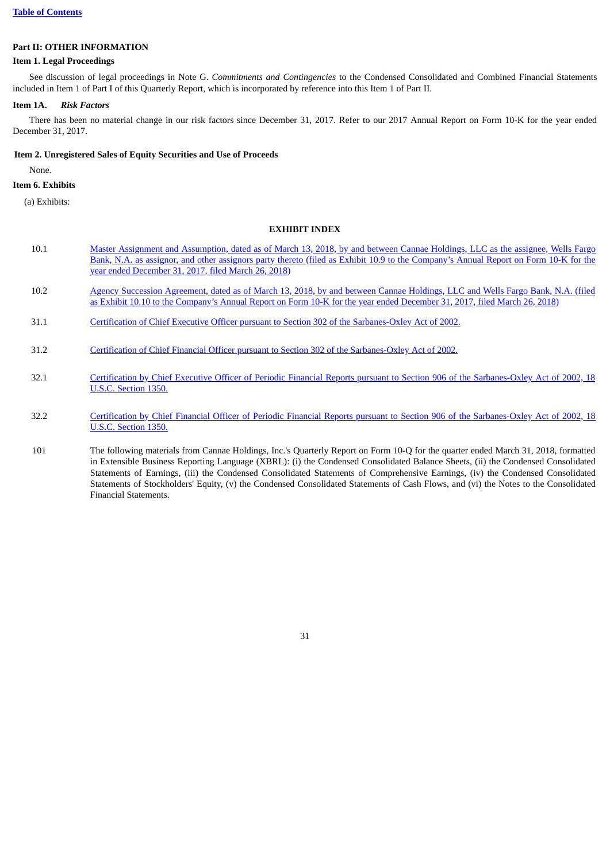#### <span id="page-32-0"></span>**Part II: OTHER INFORMATION**

## <span id="page-32-1"></span>**Item 1. Legal Proceedings**

See discussion of legal proceedings in Note G. *Commitments and Contingencies* to the Condensed Consolidated and Combined Financial Statements included in Item 1 of Part I of this Quarterly Report, which is incorporated by reference into this Item 1 of Part II.

#### <span id="page-32-2"></span>**Item 1A.** *Risk Factors*

There has been no material change in our risk factors since December 31, 2017. Refer to our 2017 Annual Report on Form 10-K for the year ended December 31, 2017.

#### <span id="page-32-3"></span>**Item 2. Unregistered Sales of Equity Securities and Use of Proceeds**

None.

# <span id="page-32-4"></span>**Item 6. Exhibits**

(a) Exhibits:

#### **EXHIBIT INDEX**

- 10.1 Master Assignment and [Assumption,](http://www.sec.gov/Archives/edgar/data/1704720/000170472018000022/exhibit109-masterassignmen.htm) dated as of March 13, 2018, by and between Cannae Holdings, LLC as the assignee, Wells Fargo Bank, N.A. as assignor, and other assignors party thereto (filed as Exhibit 10.9 to the Company's Annual Report on Form 10-K for the year ended December 31, 2017, filed March 26, 2018)
- 10.2 Agency Succession [Agreement,](http://www.sec.gov/Archives/edgar/data/1704720/000170472018000022/exhibit1010-agencysuccessi.htm) dated as of March 13, 2018, by and between Cannae Holdings, LLC and Wells Fargo Bank, N.A. (filed as Exhibit 10.10 to the Company's Annual Report on Form 10-K for the year ended December 31, 2017, filed March 26, 2018)
- 31.1 Certification of Chief Executive Officer pursuant to Section 302 of the [Sarbanes-Oxley](#page-34-0) Act of 2002.
- 31.2 Certification of Chief Financial Officer pursuant to Section 302 of the [Sarbanes-Oxley](#page-35-0) Act of 2002.
- 32.1 Certification by Chief Executive Officer of Periodic Financial Reports pursuant to Section 906 of the [Sarbanes-Oxley](#page-36-0) Act of 2002, 18 U.S.C. Section 1350.
- 32.2 Certification by Chief Financial Officer of Periodic Financial Reports pursuant to Section 906 of the [Sarbanes-Oxley](#page-37-0) Act of 2002, 18 U.S.C. Section 1350.
- 101 The following materials from Cannae Holdings, Inc.'s Quarterly Report on Form 10-Q for the quarter ended March 31, 2018, formatted in Extensible Business Reporting Language (XBRL): (i) the Condensed Consolidated Balance Sheets, (ii) the Condensed Consolidated Statements of Earnings, (iii) the Condensed Consolidated Statements of Comprehensive Earnings, (iv) the Condensed Consolidated Statements of Stockholders' Equity, (v) the Condensed Consolidated Statements of Cash Flows, and (vi) the Notes to the Consolidated Financial Statements.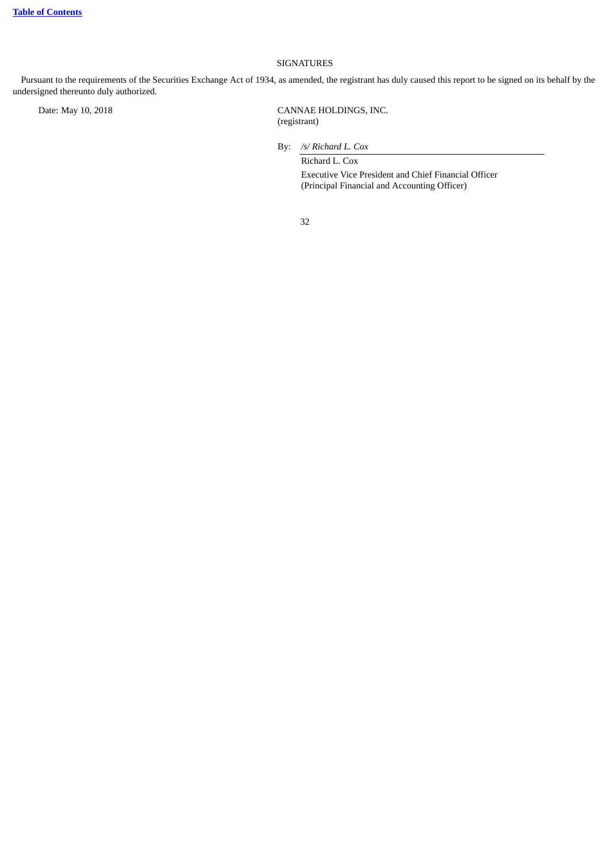# SIGNATURES

Pursuant to the requirements of the Securities Exchange Act of 1934, as amended, the registrant has duly caused this report to be signed on its behalf by the undersigned thereunto duly authorized.

Date: May 10, 2018 CANNAE HOLDINGS, INC. (registrant)

By: */s/ Richard L. Cox*

Richard L. Cox Executive Vice President and Chief Financial Officer (Principal Financial and Accounting Officer)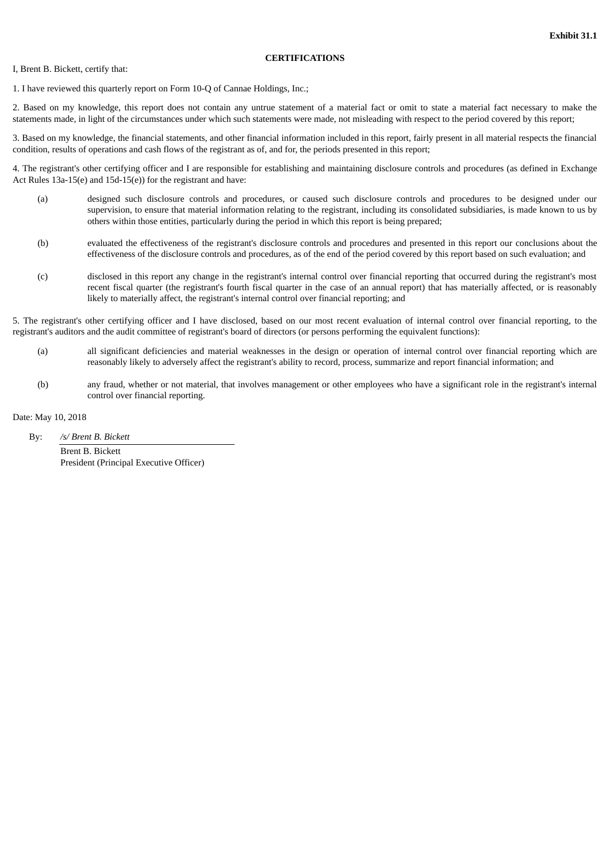#### **CERTIFICATIONS**

<span id="page-34-0"></span>I, Brent B. Bickett, certify that:

1. I have reviewed this quarterly report on Form 10-Q of Cannae Holdings, Inc.;

2. Based on my knowledge, this report does not contain any untrue statement of a material fact or omit to state a material fact necessary to make the statements made, in light of the circumstances under which such statements were made, not misleading with respect to the period covered by this report;

3. Based on my knowledge, the financial statements, and other financial information included in this report, fairly present in all material respects the financial condition, results of operations and cash flows of the registrant as of, and for, the periods presented in this report;

4. The registrant's other certifying officer and I are responsible for establishing and maintaining disclosure controls and procedures (as defined in Exchange Act Rules 13a-15(e) and 15d-15(e)) for the registrant and have:

- (a) designed such disclosure controls and procedures, or caused such disclosure controls and procedures to be designed under our supervision, to ensure that material information relating to the registrant, including its consolidated subsidiaries, is made known to us by others within those entities, particularly during the period in which this report is being prepared;
- (b) evaluated the effectiveness of the registrant's disclosure controls and procedures and presented in this report our conclusions about the effectiveness of the disclosure controls and procedures, as of the end of the period covered by this report based on such evaluation; and
- (c) disclosed in this report any change in the registrant's internal control over financial reporting that occurred during the registrant's most recent fiscal quarter (the registrant's fourth fiscal quarter in the case of an annual report) that has materially affected, or is reasonably likely to materially affect, the registrant's internal control over financial reporting; and

5. The registrant's other certifying officer and I have disclosed, based on our most recent evaluation of internal control over financial reporting, to the registrant's auditors and the audit committee of registrant's board of directors (or persons performing the equivalent functions):

- (a) all significant deficiencies and material weaknesses in the design or operation of internal control over financial reporting which are reasonably likely to adversely affect the registrant's ability to record, process, summarize and report financial information; and
- (b) any fraud, whether or not material, that involves management or other employees who have a significant role in the registrant's internal control over financial reporting.

Date: May 10, 2018

By: */s/ Brent B. Bickett*

Brent B. Bickett President (Principal Executive Officer)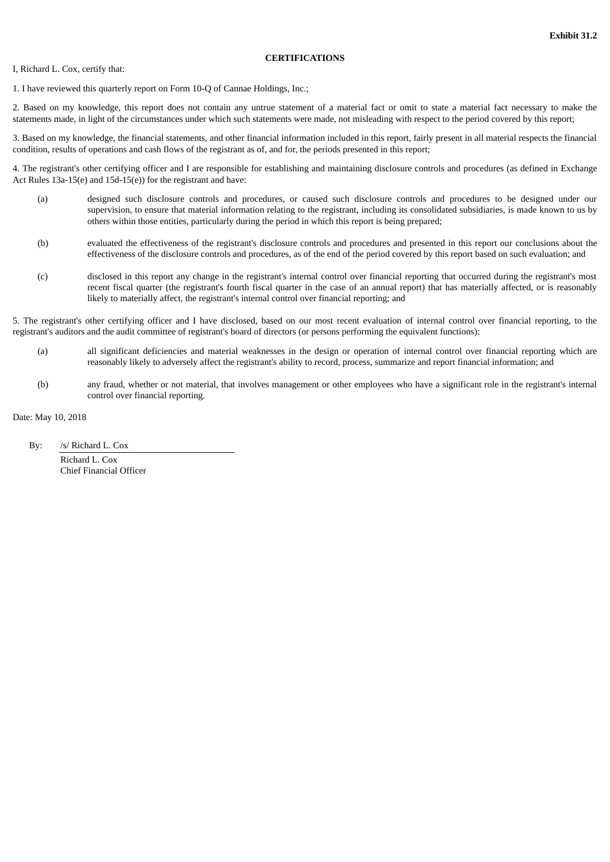#### **CERTIFICATIONS**

<span id="page-35-0"></span>I, Richard L. Cox, certify that:

1. I have reviewed this quarterly report on Form 10-Q of Cannae Holdings, Inc.;

2. Based on my knowledge, this report does not contain any untrue statement of a material fact or omit to state a material fact necessary to make the statements made, in light of the circumstances under which such statements were made, not misleading with respect to the period covered by this report;

3. Based on my knowledge, the financial statements, and other financial information included in this report, fairly present in all material respects the financial condition, results of operations and cash flows of the registrant as of, and for, the periods presented in this report;

4. The registrant's other certifying officer and I are responsible for establishing and maintaining disclosure controls and procedures (as defined in Exchange Act Rules 13a-15(e) and 15d-15(e)) for the registrant and have:

- (a) designed such disclosure controls and procedures, or caused such disclosure controls and procedures to be designed under our supervision, to ensure that material information relating to the registrant, including its consolidated subsidiaries, is made known to us by others within those entities, particularly during the period in which this report is being prepared;
- (b) evaluated the effectiveness of the registrant's disclosure controls and procedures and presented in this report our conclusions about the effectiveness of the disclosure controls and procedures, as of the end of the period covered by this report based on such evaluation; and
- (c) disclosed in this report any change in the registrant's internal control over financial reporting that occurred during the registrant's most recent fiscal quarter (the registrant's fourth fiscal quarter in the case of an annual report) that has materially affected, or is reasonably likely to materially affect, the registrant's internal control over financial reporting; and

5. The registrant's other certifying officer and I have disclosed, based on our most recent evaluation of internal control over financial reporting, to the registrant's auditors and the audit committee of registrant's board of directors (or persons performing the equivalent functions):

- (a) all significant deficiencies and material weaknesses in the design or operation of internal control over financial reporting which are reasonably likely to adversely affect the registrant's ability to record, process, summarize and report financial information; and
- (b) any fraud, whether or not material, that involves management or other employees who have a significant role in the registrant's internal control over financial reporting.

Date: May 10, 2018

By: /s/ Richard L. Cox

Richard L. Cox Chief Financial Officer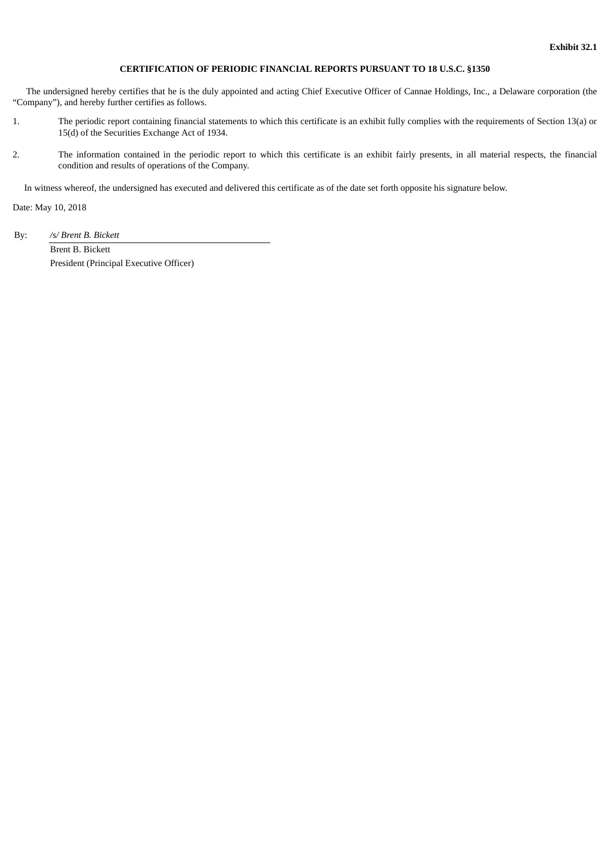# **CERTIFICATION OF PERIODIC FINANCIAL REPORTS PURSUANT TO 18 U.S.C. §1350**

<span id="page-36-0"></span>The undersigned hereby certifies that he is the duly appointed and acting Chief Executive Officer of Cannae Holdings, Inc., a Delaware corporation (the "Company"), and hereby further certifies as follows.

- 1. The periodic report containing financial statements to which this certificate is an exhibit fully complies with the requirements of Section 13(a) or 15(d) of the Securities Exchange Act of 1934.
- 2. The information contained in the periodic report to which this certificate is an exhibit fairly presents, in all material respects, the financial condition and results of operations of the Company.

In witness whereof, the undersigned has executed and delivered this certificate as of the date set forth opposite his signature below.

Date: May 10, 2018

By: */s/ Brent B. Bickett*

Brent B. Bickett President (Principal Executive Officer)